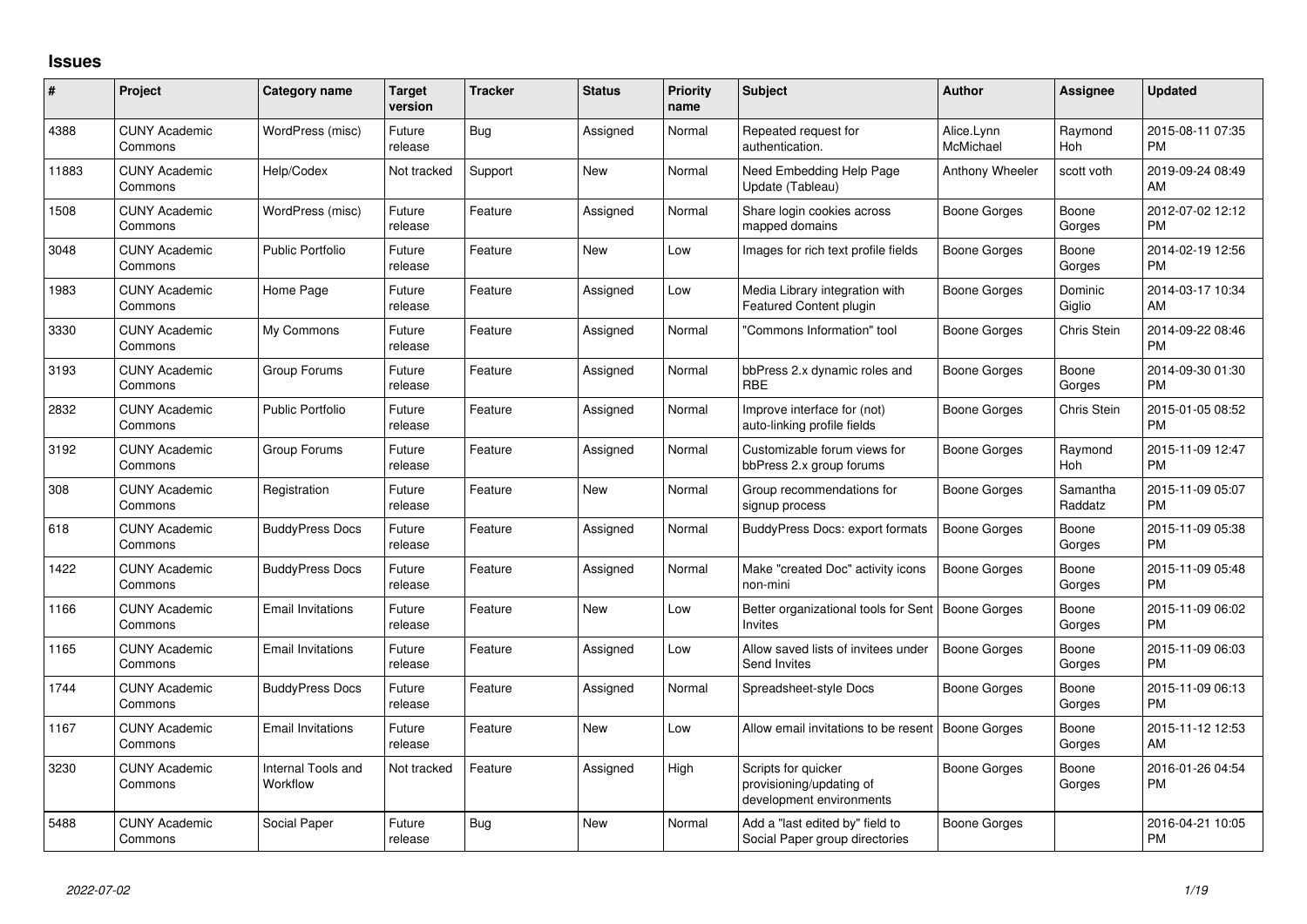## **Issues**

| #     | Project                         | <b>Category name</b>           | <b>Target</b><br>version | <b>Tracker</b> | <b>Status</b> | <b>Priority</b><br>name | <b>Subject</b>                                                              | <b>Author</b>           | Assignee            | <b>Updated</b>                |
|-------|---------------------------------|--------------------------------|--------------------------|----------------|---------------|-------------------------|-----------------------------------------------------------------------------|-------------------------|---------------------|-------------------------------|
| 4388  | <b>CUNY Academic</b><br>Commons | WordPress (misc)               | Future<br>release        | Bug            | Assigned      | Normal                  | Repeated request for<br>authentication.                                     | Alice.Lynn<br>McMichael | Raymond<br>Hoh      | 2015-08-11 07:35<br><b>PM</b> |
| 11883 | <b>CUNY Academic</b><br>Commons | Help/Codex                     | Not tracked              | Support        | New           | Normal                  | Need Embedding Help Page<br>Update (Tableau)                                | Anthony Wheeler         | scott voth          | 2019-09-24 08:49<br>AM        |
| 1508  | <b>CUNY Academic</b><br>Commons | WordPress (misc)               | Future<br>release        | Feature        | Assigned      | Normal                  | Share login cookies across<br>mapped domains                                | Boone Gorges            | Boone<br>Gorges     | 2012-07-02 12:12<br><b>PM</b> |
| 3048  | <b>CUNY Academic</b><br>Commons | <b>Public Portfolio</b>        | Future<br>release        | Feature        | New           | Low                     | Images for rich text profile fields                                         | Boone Gorges            | Boone<br>Gorges     | 2014-02-19 12:56<br><b>PM</b> |
| 1983  | <b>CUNY Academic</b><br>Commons | Home Page                      | Future<br>release        | Feature        | Assigned      | Low                     | Media Library integration with<br>Featured Content plugin                   | Boone Gorges            | Dominic<br>Giglio   | 2014-03-17 10:34<br>AM        |
| 3330  | <b>CUNY Academic</b><br>Commons | My Commons                     | Future<br>release        | Feature        | Assigned      | Normal                  | 'Commons Information" tool                                                  | Boone Gorges            | Chris Stein         | 2014-09-22 08:46<br><b>PM</b> |
| 3193  | <b>CUNY Academic</b><br>Commons | Group Forums                   | Future<br>release        | Feature        | Assigned      | Normal                  | bbPress 2.x dynamic roles and<br><b>RBE</b>                                 | Boone Gorges            | Boone<br>Gorges     | 2014-09-30 01:30<br><b>PM</b> |
| 2832  | <b>CUNY Academic</b><br>Commons | Public Portfolio               | Future<br>release        | Feature        | Assigned      | Normal                  | Improve interface for (not)<br>auto-linking profile fields                  | Boone Gorges            | <b>Chris Stein</b>  | 2015-01-05 08:52<br><b>PM</b> |
| 3192  | <b>CUNY Academic</b><br>Commons | Group Forums                   | Future<br>release        | Feature        | Assigned      | Normal                  | Customizable forum views for<br>bbPress 2.x group forums                    | Boone Gorges            | Raymond<br>Hoh      | 2015-11-09 12:47<br><b>PM</b> |
| 308   | <b>CUNY Academic</b><br>Commons | Registration                   | Future<br>release        | Feature        | New           | Normal                  | Group recommendations for<br>signup process                                 | Boone Gorges            | Samantha<br>Raddatz | 2015-11-09 05:07<br><b>PM</b> |
| 618   | <b>CUNY Academic</b><br>Commons | <b>BuddyPress Docs</b>         | Future<br>release        | Feature        | Assigned      | Normal                  | BuddyPress Docs: export formats                                             | <b>Boone Gorges</b>     | Boone<br>Gorges     | 2015-11-09 05:38<br><b>PM</b> |
| 1422  | <b>CUNY Academic</b><br>Commons | <b>BuddyPress Docs</b>         | Future<br>release        | Feature        | Assigned      | Normal                  | Make "created Doc" activity icons<br>non-mini                               | Boone Gorges            | Boone<br>Gorges     | 2015-11-09 05:48<br><b>PM</b> |
| 1166  | <b>CUNY Academic</b><br>Commons | <b>Email Invitations</b>       | Future<br>release        | Feature        | <b>New</b>    | Low                     | Better organizational tools for Sent<br>Invites                             | Boone Gorges            | Boone<br>Gorges     | 2015-11-09 06:02<br><b>PM</b> |
| 1165  | <b>CUNY Academic</b><br>Commons | <b>Email Invitations</b>       | Future<br>release        | Feature        | Assigned      | Low                     | Allow saved lists of invitees under<br>Send Invites                         | <b>Boone Gorges</b>     | Boone<br>Gorges     | 2015-11-09 06:03<br><b>PM</b> |
| 1744  | <b>CUNY Academic</b><br>Commons | <b>BuddyPress Docs</b>         | Future<br>release        | Feature        | Assigned      | Normal                  | Spreadsheet-style Docs                                                      | Boone Gorges            | Boone<br>Gorges     | 2015-11-09 06:13<br><b>PM</b> |
| 1167  | <b>CUNY Academic</b><br>Commons | <b>Email Invitations</b>       | Future<br>release        | Feature        | <b>New</b>    | Low                     | Allow email invitations to be resent                                        | Boone Gorges            | Boone<br>Gorges     | 2015-11-12 12:53<br><b>AM</b> |
| 3230  | <b>CUNY Academic</b><br>Commons | Internal Tools and<br>Workflow | Not tracked              | Feature        | Assigned      | High                    | Scripts for quicker<br>provisioning/updating of<br>development environments | Boone Gorges            | Boone<br>Gorges     | 2016-01-26 04:54<br>PM.       |
| 5488  | <b>CUNY Academic</b><br>Commons | Social Paper                   | Future<br>release        | Bug            | <b>New</b>    | Normal                  | Add a "last edited by" field to<br>Social Paper group directories           | Boone Gorges            |                     | 2016-04-21 10:05<br><b>PM</b> |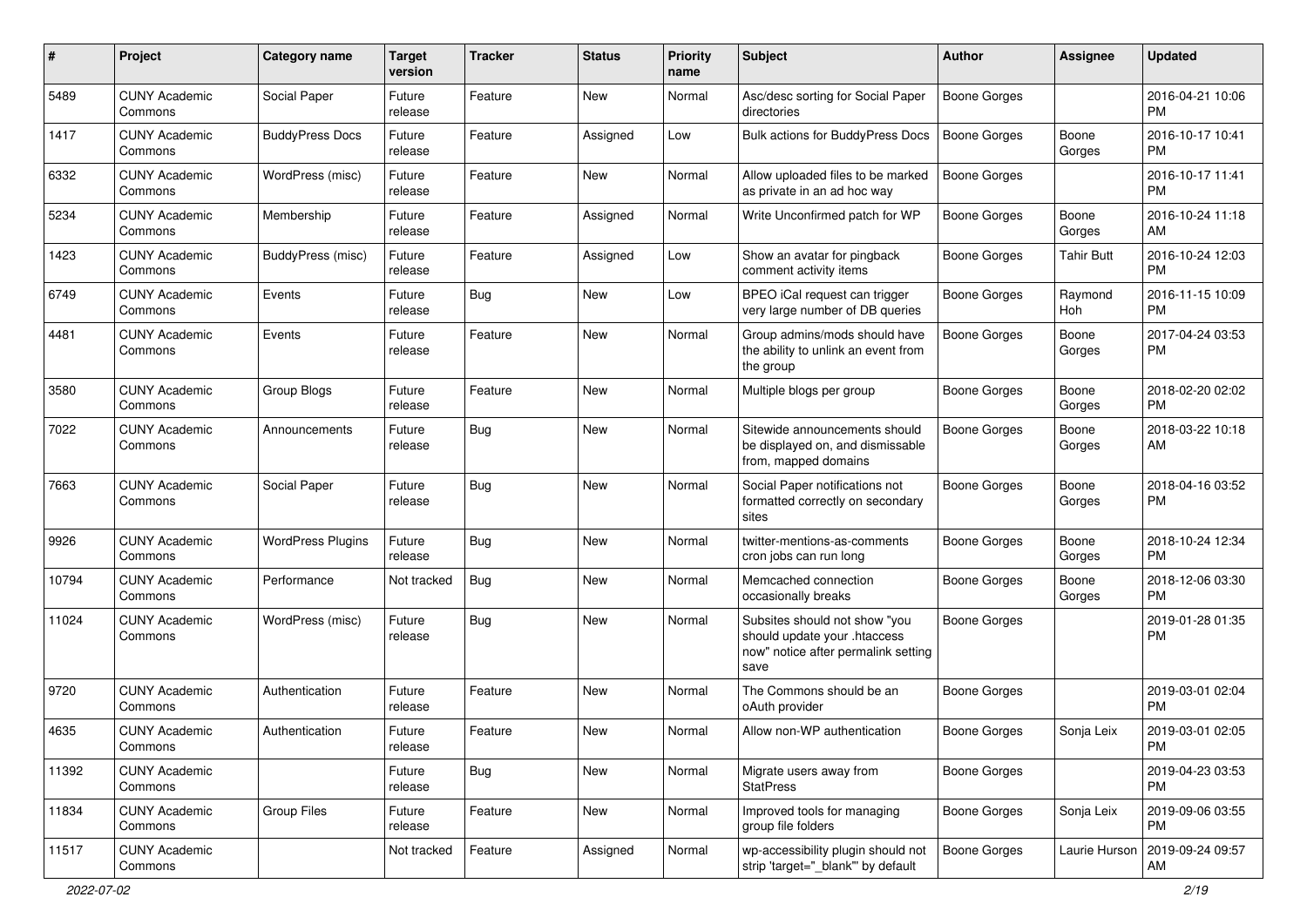| #     | Project                         | <b>Category name</b>     | <b>Target</b><br>version | Tracker    | <b>Status</b> | <b>Priority</b><br>name | <b>Subject</b>                                                                                               | Author              | Assignee          | <b>Updated</b>                |
|-------|---------------------------------|--------------------------|--------------------------|------------|---------------|-------------------------|--------------------------------------------------------------------------------------------------------------|---------------------|-------------------|-------------------------------|
| 5489  | <b>CUNY Academic</b><br>Commons | Social Paper             | Future<br>release        | Feature    | <b>New</b>    | Normal                  | Asc/desc sorting for Social Paper<br>directories                                                             | <b>Boone Gorges</b> |                   | 2016-04-21 10:06<br><b>PM</b> |
| 1417  | <b>CUNY Academic</b><br>Commons | <b>BuddyPress Docs</b>   | Future<br>release        | Feature    | Assigned      | Low                     | Bulk actions for BuddyPress Docs                                                                             | <b>Boone Gorges</b> | Boone<br>Gorges   | 2016-10-17 10:41<br><b>PM</b> |
| 6332  | <b>CUNY Academic</b><br>Commons | WordPress (misc)         | Future<br>release        | Feature    | <b>New</b>    | Normal                  | Allow uploaded files to be marked<br>as private in an ad hoc way                                             | <b>Boone Gorges</b> |                   | 2016-10-17 11:41<br><b>PM</b> |
| 5234  | <b>CUNY Academic</b><br>Commons | Membership               | Future<br>release        | Feature    | Assigned      | Normal                  | Write Unconfirmed patch for WP                                                                               | <b>Boone Gorges</b> | Boone<br>Gorges   | 2016-10-24 11:18<br>AM        |
| 1423  | <b>CUNY Academic</b><br>Commons | BuddyPress (misc)        | Future<br>release        | Feature    | Assigned      | Low                     | Show an avatar for pingback<br>comment activity items                                                        | <b>Boone Gorges</b> | <b>Tahir Butt</b> | 2016-10-24 12:03<br><b>PM</b> |
| 6749  | <b>CUNY Academic</b><br>Commons | Events                   | Future<br>release        | Bug        | New           | Low                     | BPEO iCal request can trigger<br>very large number of DB queries                                             | <b>Boone Gorges</b> | Raymond<br>Hoh    | 2016-11-15 10:09<br><b>PM</b> |
| 4481  | <b>CUNY Academic</b><br>Commons | Events                   | Future<br>release        | Feature    | <b>New</b>    | Normal                  | Group admins/mods should have<br>the ability to unlink an event from<br>the group                            | Boone Gorges        | Boone<br>Gorges   | 2017-04-24 03:53<br><b>PM</b> |
| 3580  | <b>CUNY Academic</b><br>Commons | Group Blogs              | Future<br>release        | Feature    | <b>New</b>    | Normal                  | Multiple blogs per group                                                                                     | <b>Boone Gorges</b> | Boone<br>Gorges   | 2018-02-20 02:02<br><b>PM</b> |
| 7022  | <b>CUNY Academic</b><br>Commons | Announcements            | Future<br>release        | Bug        | <b>New</b>    | Normal                  | Sitewide announcements should<br>be displayed on, and dismissable<br>from, mapped domains                    | <b>Boone Gorges</b> | Boone<br>Gorges   | 2018-03-22 10:18<br>AM        |
| 7663  | <b>CUNY Academic</b><br>Commons | Social Paper             | Future<br>release        | Bug        | <b>New</b>    | Normal                  | Social Paper notifications not<br>formatted correctly on secondary<br>sites                                  | <b>Boone Gorges</b> | Boone<br>Gorges   | 2018-04-16 03:52<br><b>PM</b> |
| 9926  | <b>CUNY Academic</b><br>Commons | <b>WordPress Plugins</b> | Future<br>release        | <b>Bug</b> | <b>New</b>    | Normal                  | twitter-mentions-as-comments<br>cron jobs can run long                                                       | <b>Boone Gorges</b> | Boone<br>Gorges   | 2018-10-24 12:34<br><b>PM</b> |
| 10794 | <b>CUNY Academic</b><br>Commons | Performance              | Not tracked              | Bug        | <b>New</b>    | Normal                  | Memcached connection<br>occasionally breaks                                                                  | <b>Boone Gorges</b> | Boone<br>Gorges   | 2018-12-06 03:30<br><b>PM</b> |
| 11024 | <b>CUNY Academic</b><br>Commons | WordPress (misc)         | Future<br>release        | Bug        | New           | Normal                  | Subsites should not show "you<br>should update your .htaccess<br>now" notice after permalink setting<br>save | <b>Boone Gorges</b> |                   | 2019-01-28 01:35<br><b>PM</b> |
| 9720  | <b>CUNY Academic</b><br>Commons | Authentication           | Future<br>release        | Feature    | <b>New</b>    | Normal                  | The Commons should be an<br>oAuth provider                                                                   | Boone Gorges        |                   | 2019-03-01 02:04<br><b>PM</b> |
| 4635  | <b>CUNY Academic</b><br>Commons | Authentication           | Future<br>release        | Feature    | New           | Normal                  | Allow non-WP authentication                                                                                  | <b>Boone Gorges</b> | Sonja Leix        | 2019-03-01 02:05<br>PM        |
| 11392 | <b>CUNY Academic</b><br>Commons |                          | Future<br>release        | Bug        | New           | Normal                  | Migrate users away from<br><b>StatPress</b>                                                                  | <b>Boone Gorges</b> |                   | 2019-04-23 03:53<br><b>PM</b> |
| 11834 | <b>CUNY Academic</b><br>Commons | Group Files              | Future<br>release        | Feature    | New           | Normal                  | Improved tools for managing<br>group file folders                                                            | Boone Gorges        | Sonja Leix        | 2019-09-06 03:55<br><b>PM</b> |
| 11517 | <b>CUNY Academic</b><br>Commons |                          | Not tracked              | Feature    | Assigned      | Normal                  | wp-accessibility plugin should not<br>strip 'target="_blank"' by default                                     | Boone Gorges        | Laurie Hurson     | 2019-09-24 09:57<br>AM        |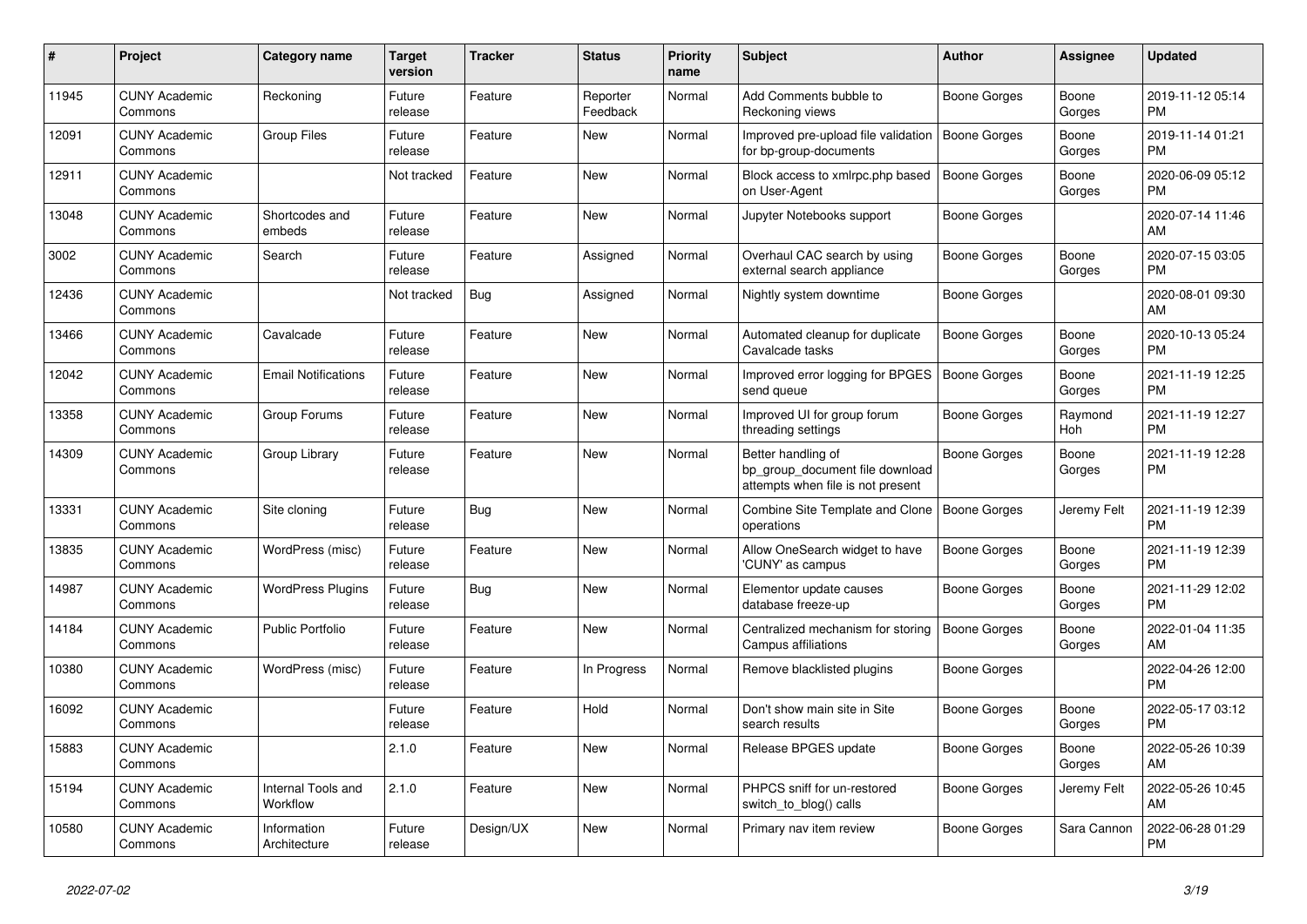| #     | Project                         | <b>Category name</b>           | <b>Target</b><br>version | <b>Tracker</b> | <b>Status</b>        | <b>Priority</b><br>name | <b>Subject</b>                                                                             | <b>Author</b> | Assignee        | <b>Updated</b>                |
|-------|---------------------------------|--------------------------------|--------------------------|----------------|----------------------|-------------------------|--------------------------------------------------------------------------------------------|---------------|-----------------|-------------------------------|
| 11945 | <b>CUNY Academic</b><br>Commons | Reckoning                      | Future<br>release        | Feature        | Reporter<br>Feedback | Normal                  | Add Comments bubble to<br>Reckoning views                                                  | Boone Gorges  | Boone<br>Gorges | 2019-11-12 05:14<br><b>PM</b> |
| 12091 | <b>CUNY Academic</b><br>Commons | <b>Group Files</b>             | Future<br>release        | Feature        | New                  | Normal                  | Improved pre-upload file validation<br>for bp-group-documents                              | Boone Gorges  | Boone<br>Gorges | 2019-11-14 01:21<br>PM        |
| 12911 | <b>CUNY Academic</b><br>Commons |                                | Not tracked              | Feature        | New                  | Normal                  | Block access to xmlrpc.php based<br>on User-Agent                                          | Boone Gorges  | Boone<br>Gorges | 2020-06-09 05:12<br><b>PM</b> |
| 13048 | <b>CUNY Academic</b><br>Commons | Shortcodes and<br>embeds       | Future<br>release        | Feature        | <b>New</b>           | Normal                  | Jupyter Notebooks support                                                                  | Boone Gorges  |                 | 2020-07-14 11:46<br>AM        |
| 3002  | <b>CUNY Academic</b><br>Commons | Search                         | Future<br>release        | Feature        | Assigned             | Normal                  | Overhaul CAC search by using<br>external search appliance                                  | Boone Gorges  | Boone<br>Gorges | 2020-07-15 03:05<br>PM.       |
| 12436 | <b>CUNY Academic</b><br>Commons |                                | Not tracked              | Bug            | Assigned             | Normal                  | Nightly system downtime                                                                    | Boone Gorges  |                 | 2020-08-01 09:30<br>AM        |
| 13466 | <b>CUNY Academic</b><br>Commons | Cavalcade                      | Future<br>release        | Feature        | New                  | Normal                  | Automated cleanup for duplicate<br>Cavalcade tasks                                         | Boone Gorges  | Boone<br>Gorges | 2020-10-13 05:24<br><b>PM</b> |
| 12042 | <b>CUNY Academic</b><br>Commons | <b>Email Notifications</b>     | Future<br>release        | Feature        | New                  | Normal                  | Improved error logging for BPGES<br>send queue                                             | Boone Gorges  | Boone<br>Gorges | 2021-11-19 12:25<br>PM.       |
| 13358 | <b>CUNY Academic</b><br>Commons | Group Forums                   | Future<br>release        | Feature        | New                  | Normal                  | Improved UI for group forum<br>threading settings                                          | Boone Gorges  | Raymond<br>Hoh  | 2021-11-19 12:27<br><b>PM</b> |
| 14309 | <b>CUNY Academic</b><br>Commons | Group Library                  | Future<br>release        | Feature        | <b>New</b>           | Normal                  | Better handling of<br>bp_group_document file download<br>attempts when file is not present | Boone Gorges  | Boone<br>Gorges | 2021-11-19 12:28<br>PM        |
| 13331 | <b>CUNY Academic</b><br>Commons | Site cloning                   | Future<br>release        | Bug            | New                  | Normal                  | Combine Site Template and Clone<br>operations                                              | Boone Gorges  | Jeremy Felt     | 2021-11-19 12:39<br><b>PM</b> |
| 13835 | <b>CUNY Academic</b><br>Commons | WordPress (misc)               | Future<br>release        | Feature        | <b>New</b>           | Normal                  | Allow OneSearch widget to have<br>'CUNY' as campus                                         | Boone Gorges  | Boone<br>Gorges | 2021-11-19 12:39<br><b>PM</b> |
| 14987 | <b>CUNY Academic</b><br>Commons | <b>WordPress Plugins</b>       | Future<br>release        | <b>Bug</b>     | <b>New</b>           | Normal                  | Elementor update causes<br>database freeze-up                                              | Boone Gorges  | Boone<br>Gorges | 2021-11-29 12:02<br><b>PM</b> |
| 14184 | <b>CUNY Academic</b><br>Commons | Public Portfolio               | Future<br>release        | Feature        | New                  | Normal                  | Centralized mechanism for storing<br>Campus affiliations                                   | Boone Gorges  | Boone<br>Gorges | 2022-01-04 11:35<br>AM        |
| 10380 | <b>CUNY Academic</b><br>Commons | WordPress (misc)               | Future<br>release        | Feature        | In Progress          | Normal                  | Remove blacklisted plugins                                                                 | Boone Gorges  |                 | 2022-04-26 12:00<br><b>PM</b> |
| 16092 | <b>CUNY Academic</b><br>Commons |                                | Future<br>release        | Feature        | Hold                 | Normal                  | Don't show main site in Site<br>search results                                             | Boone Gorges  | Boone<br>Gorges | 2022-05-17 03:12<br><b>PM</b> |
| 15883 | <b>CUNY Academic</b><br>Commons |                                | 2.1.0                    | Feature        | New                  | Normal                  | Release BPGES update                                                                       | Boone Gorges  | Boone<br>Gorges | 2022-05-26 10:39<br><b>AM</b> |
| 15194 | <b>CUNY Academic</b><br>Commons | Internal Tools and<br>Workflow | 2.1.0                    | Feature        | <b>New</b>           | Normal                  | PHPCS sniff for un-restored<br>switch_to_blog() calls                                      | Boone Gorges  | Jeremy Felt     | 2022-05-26 10:45<br>AM        |
| 10580 | <b>CUNY Academic</b><br>Commons | Information<br>Architecture    | Future<br>release        | Design/UX      | <b>New</b>           | Normal                  | Primary nav item review                                                                    | Boone Gorges  | Sara Cannon     | 2022-06-28 01:29<br>PM        |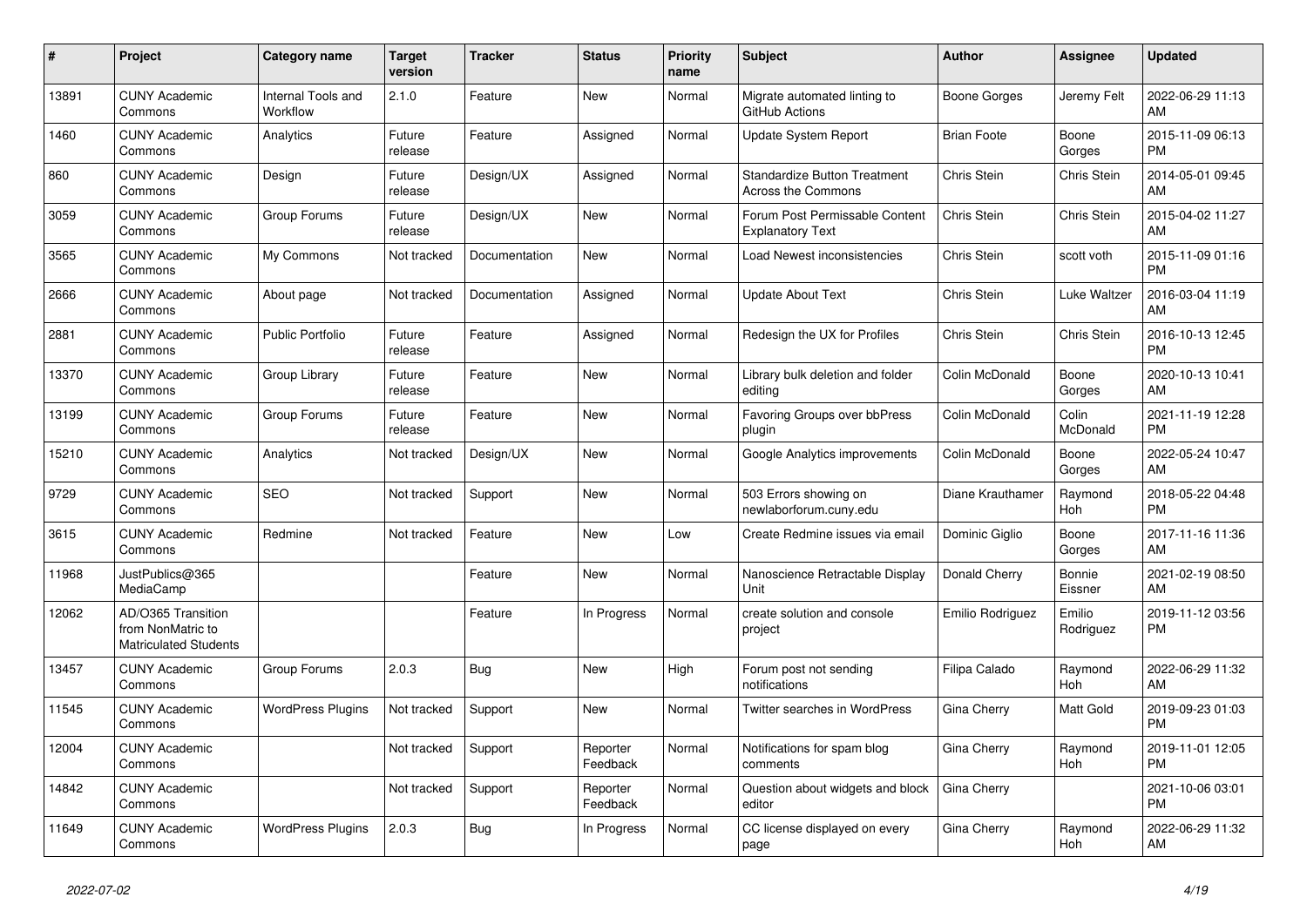| $\#$  | Project                                                          | <b>Category name</b>                  | <b>Target</b><br>version | <b>Tracker</b> | <b>Status</b>        | <b>Priority</b><br>name | <b>Subject</b>                                                   | <b>Author</b>      | Assignee            | <b>Updated</b>                |
|-------|------------------------------------------------------------------|---------------------------------------|--------------------------|----------------|----------------------|-------------------------|------------------------------------------------------------------|--------------------|---------------------|-------------------------------|
| 13891 | <b>CUNY Academic</b><br>Commons                                  | <b>Internal Tools and</b><br>Workflow | 2.1.0                    | Feature        | <b>New</b>           | Normal                  | Migrate automated linting to<br>GitHub Actions                   | Boone Gorges       | Jeremy Felt         | 2022-06-29 11:13<br>AM        |
| 1460  | <b>CUNY Academic</b><br>Commons                                  | Analytics                             | Future<br>release        | Feature        | Assigned             | Normal                  | <b>Update System Report</b>                                      | <b>Brian Foote</b> | Boone<br>Gorges     | 2015-11-09 06:13<br><b>PM</b> |
| 860   | <b>CUNY Academic</b><br>Commons                                  | Design                                | Future<br>release        | Design/UX      | Assigned             | Normal                  | <b>Standardize Button Treatment</b><br><b>Across the Commons</b> | Chris Stein        | Chris Stein         | 2014-05-01 09:45<br>AM        |
| 3059  | <b>CUNY Academic</b><br>Commons                                  | Group Forums                          | Future<br>release        | Design/UX      | <b>New</b>           | Normal                  | Forum Post Permissable Content<br><b>Explanatory Text</b>        | Chris Stein        | Chris Stein         | 2015-04-02 11:27<br>AM        |
| 3565  | <b>CUNY Academic</b><br>Commons                                  | My Commons                            | Not tracked              | Documentation  | New                  | Normal                  | Load Newest inconsistencies                                      | Chris Stein        | scott voth          | 2015-11-09 01:16<br><b>PM</b> |
| 2666  | <b>CUNY Academic</b><br>Commons                                  | About page                            | Not tracked              | Documentation  | Assigned             | Normal                  | <b>Update About Text</b>                                         | Chris Stein        | Luke Waltzer        | 2016-03-04 11:19<br>AM        |
| 2881  | <b>CUNY Academic</b><br>Commons                                  | <b>Public Portfolio</b>               | Future<br>release        | Feature        | Assigned             | Normal                  | Redesign the UX for Profiles                                     | Chris Stein        | Chris Stein         | 2016-10-13 12:45<br><b>PM</b> |
| 13370 | <b>CUNY Academic</b><br>Commons                                  | Group Library                         | Future<br>release        | Feature        | <b>New</b>           | Normal                  | Library bulk deletion and folder<br>editing                      | Colin McDonald     | Boone<br>Gorges     | 2020-10-13 10:41<br>AM        |
| 13199 | <b>CUNY Academic</b><br>Commons                                  | Group Forums                          | Future<br>release        | Feature        | <b>New</b>           | Normal                  | Favoring Groups over bbPress<br>plugin                           | Colin McDonald     | Colin<br>McDonald   | 2021-11-19 12:28<br><b>PM</b> |
| 15210 | <b>CUNY Academic</b><br>Commons                                  | Analytics                             | Not tracked              | Design/UX      | New                  | Normal                  | Google Analytics improvements                                    | Colin McDonald     | Boone<br>Gorges     | 2022-05-24 10:47<br>AM        |
| 9729  | <b>CUNY Academic</b><br>Commons                                  | <b>SEO</b>                            | Not tracked              | Support        | <b>New</b>           | Normal                  | 503 Errors showing on<br>newlaborforum.cuny.edu                  | Diane Krauthamer   | Raymond<br>Hoh      | 2018-05-22 04:48<br><b>PM</b> |
| 3615  | <b>CUNY Academic</b><br>Commons                                  | Redmine                               | Not tracked              | Feature        | New                  | Low                     | Create Redmine issues via email                                  | Dominic Giglio     | Boone<br>Gorges     | 2017-11-16 11:36<br>AM        |
| 11968 | JustPublics@365<br>MediaCamp                                     |                                       |                          | Feature        | New                  | Normal                  | Nanoscience Retractable Display<br>Unit                          | Donald Cherry      | Bonnie<br>Eissner   | 2021-02-19 08:50<br>AM        |
| 12062 | AD/O365 Transition<br>from NonMatric to<br>Matriculated Students |                                       |                          | Feature        | In Progress          | Normal                  | create solution and console<br>project                           | Emilio Rodriguez   | Emilio<br>Rodriguez | 2019-11-12 03:56<br><b>PM</b> |
| 13457 | <b>CUNY Academic</b><br>Commons                                  | Group Forums                          | 2.0.3                    | <b>Bug</b>     | <b>New</b>           | High                    | Forum post not sending<br>notifications                          | Filipa Calado      | Raymond<br>Hoh      | 2022-06-29 11:32<br>AM        |
| 11545 | <b>CUNY Academic</b><br>Commons                                  | <b>WordPress Plugins</b>              | Not tracked              | Support        | <b>New</b>           | Normal                  | Twitter searches in WordPress                                    | Gina Cherry        | Matt Gold           | 2019-09-23 01:03<br><b>PM</b> |
| 12004 | <b>CUNY Academic</b><br>Commons                                  |                                       | Not tracked              | Support        | Reporter<br>Feedback | Normal                  | Notifications for spam blog<br>comments                          | Gina Cherry        | Raymond<br>Hoh      | 2019-11-01 12:05<br><b>PM</b> |
| 14842 | <b>CUNY Academic</b><br>Commons                                  |                                       | Not tracked              | Support        | Reporter<br>Feedback | Normal                  | Question about widgets and block<br>editor                       | Gina Cherry        |                     | 2021-10-06 03:01<br><b>PM</b> |
| 11649 | <b>CUNY Academic</b><br>Commons                                  | <b>WordPress Plugins</b>              | 2.0.3                    | Bug            | In Progress          | Normal                  | CC license displayed on every<br>page                            | Gina Cherry        | Raymond<br>Hoh      | 2022-06-29 11:32<br>AM        |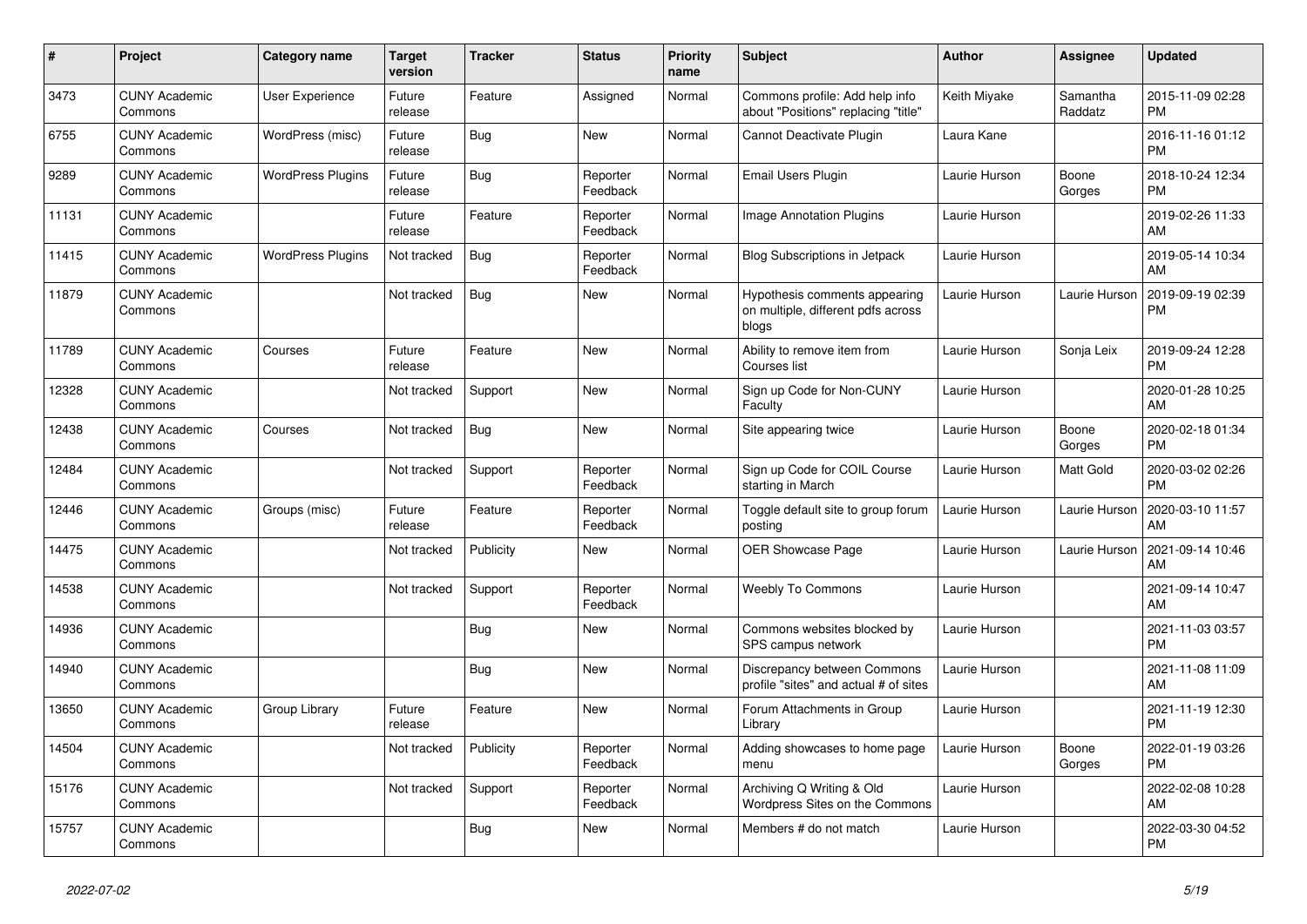| $\vert$ # | Project                         | Category name            | <b>Target</b><br>version | <b>Tracker</b> | <b>Status</b>        | <b>Priority</b><br>name | <b>Subject</b>                                                               | <b>Author</b> | Assignee            | <b>Updated</b>                |
|-----------|---------------------------------|--------------------------|--------------------------|----------------|----------------------|-------------------------|------------------------------------------------------------------------------|---------------|---------------------|-------------------------------|
| 3473      | <b>CUNY Academic</b><br>Commons | User Experience          | Future<br>release        | Feature        | Assigned             | Normal                  | Commons profile: Add help info<br>about "Positions" replacing "title"        | Keith Miyake  | Samantha<br>Raddatz | 2015-11-09 02:28<br><b>PM</b> |
| 6755      | <b>CUNY Academic</b><br>Commons | WordPress (misc)         | Future<br>release        | Bug            | <b>New</b>           | Normal                  | Cannot Deactivate Plugin                                                     | Laura Kane    |                     | 2016-11-16 01:12<br><b>PM</b> |
| 9289      | <b>CUNY Academic</b><br>Commons | <b>WordPress Plugins</b> | Future<br>release        | Bug            | Reporter<br>Feedback | Normal                  | Email Users Plugin                                                           | Laurie Hurson | Boone<br>Gorges     | 2018-10-24 12:34<br><b>PM</b> |
| 11131     | <b>CUNY Academic</b><br>Commons |                          | Future<br>release        | Feature        | Reporter<br>Feedback | Normal                  | <b>Image Annotation Plugins</b>                                              | Laurie Hurson |                     | 2019-02-26 11:33<br>AM        |
| 11415     | <b>CUNY Academic</b><br>Commons | <b>WordPress Plugins</b> | Not tracked              | Bug            | Reporter<br>Feedback | Normal                  | <b>Blog Subscriptions in Jetpack</b>                                         | Laurie Hurson |                     | 2019-05-14 10:34<br>AM        |
| 11879     | <b>CUNY Academic</b><br>Commons |                          | Not tracked              | Bug            | <b>New</b>           | Normal                  | Hypothesis comments appearing<br>on multiple, different pdfs across<br>blogs | Laurie Hurson | Laurie Hurson       | 2019-09-19 02:39<br><b>PM</b> |
| 11789     | <b>CUNY Academic</b><br>Commons | Courses                  | Future<br>release        | Feature        | <b>New</b>           | Normal                  | Ability to remove item from<br>Courses list                                  | Laurie Hurson | Sonja Leix          | 2019-09-24 12:28<br><b>PM</b> |
| 12328     | <b>CUNY Academic</b><br>Commons |                          | Not tracked              | Support        | <b>New</b>           | Normal                  | Sign up Code for Non-CUNY<br>Faculty                                         | Laurie Hurson |                     | 2020-01-28 10:25<br>AM        |
| 12438     | <b>CUNY Academic</b><br>Commons | Courses                  | Not tracked              | Bug            | <b>New</b>           | Normal                  | Site appearing twice                                                         | Laurie Hurson | Boone<br>Gorges     | 2020-02-18 01:34<br><b>PM</b> |
| 12484     | <b>CUNY Academic</b><br>Commons |                          | Not tracked              | Support        | Reporter<br>Feedback | Normal                  | Sign up Code for COIL Course<br>starting in March                            | Laurie Hurson | Matt Gold           | 2020-03-02 02:26<br><b>PM</b> |
| 12446     | <b>CUNY Academic</b><br>Commons | Groups (misc)            | Future<br>release        | Feature        | Reporter<br>Feedback | Normal                  | Toggle default site to group forum<br>posting                                | Laurie Hurson | Laurie Hurson       | 2020-03-10 11:57<br>AM        |
| 14475     | <b>CUNY Academic</b><br>Commons |                          | Not tracked              | Publicity      | <b>New</b>           | Normal                  | <b>OER Showcase Page</b>                                                     | Laurie Hurson | Laurie Hurson       | 2021-09-14 10:46<br>AM        |
| 14538     | <b>CUNY Academic</b><br>Commons |                          | Not tracked              | Support        | Reporter<br>Feedback | Normal                  | <b>Weebly To Commons</b>                                                     | Laurie Hurson |                     | 2021-09-14 10:47<br>AM        |
| 14936     | <b>CUNY Academic</b><br>Commons |                          |                          | Bug            | <b>New</b>           | Normal                  | Commons websites blocked by<br>SPS campus network                            | Laurie Hurson |                     | 2021-11-03 03:57<br><b>PM</b> |
| 14940     | <b>CUNY Academic</b><br>Commons |                          |                          | Bug            | <b>New</b>           | Normal                  | Discrepancy between Commons<br>profile "sites" and actual # of sites         | Laurie Hurson |                     | 2021-11-08 11:09<br>AM        |
| 13650     | <b>CUNY Academic</b><br>Commons | Group Library            | Future<br>release        | Feature        | <b>New</b>           | Normal                  | Forum Attachments in Group<br>Library                                        | Laurie Hurson |                     | 2021-11-19 12:30<br><b>PM</b> |
| 14504     | <b>CUNY Academic</b><br>Commons |                          | Not tracked              | Publicity      | Reporter<br>Feedback | Normal                  | Adding showcases to home page<br>menu                                        | Laurie Hurson | Boone<br>Gorges     | 2022-01-19 03:26<br><b>PM</b> |
| 15176     | <b>CUNY Academic</b><br>Commons |                          | Not tracked              | Support        | Reporter<br>Feedback | Normal                  | Archiving Q Writing & Old<br>Wordpress Sites on the Commons                  | Laurie Hurson |                     | 2022-02-08 10:28<br>AM        |
| 15757     | <b>CUNY Academic</b><br>Commons |                          |                          | <b>Bug</b>     | <b>New</b>           | Normal                  | Members # do not match                                                       | Laurie Hurson |                     | 2022-03-30 04:52<br><b>PM</b> |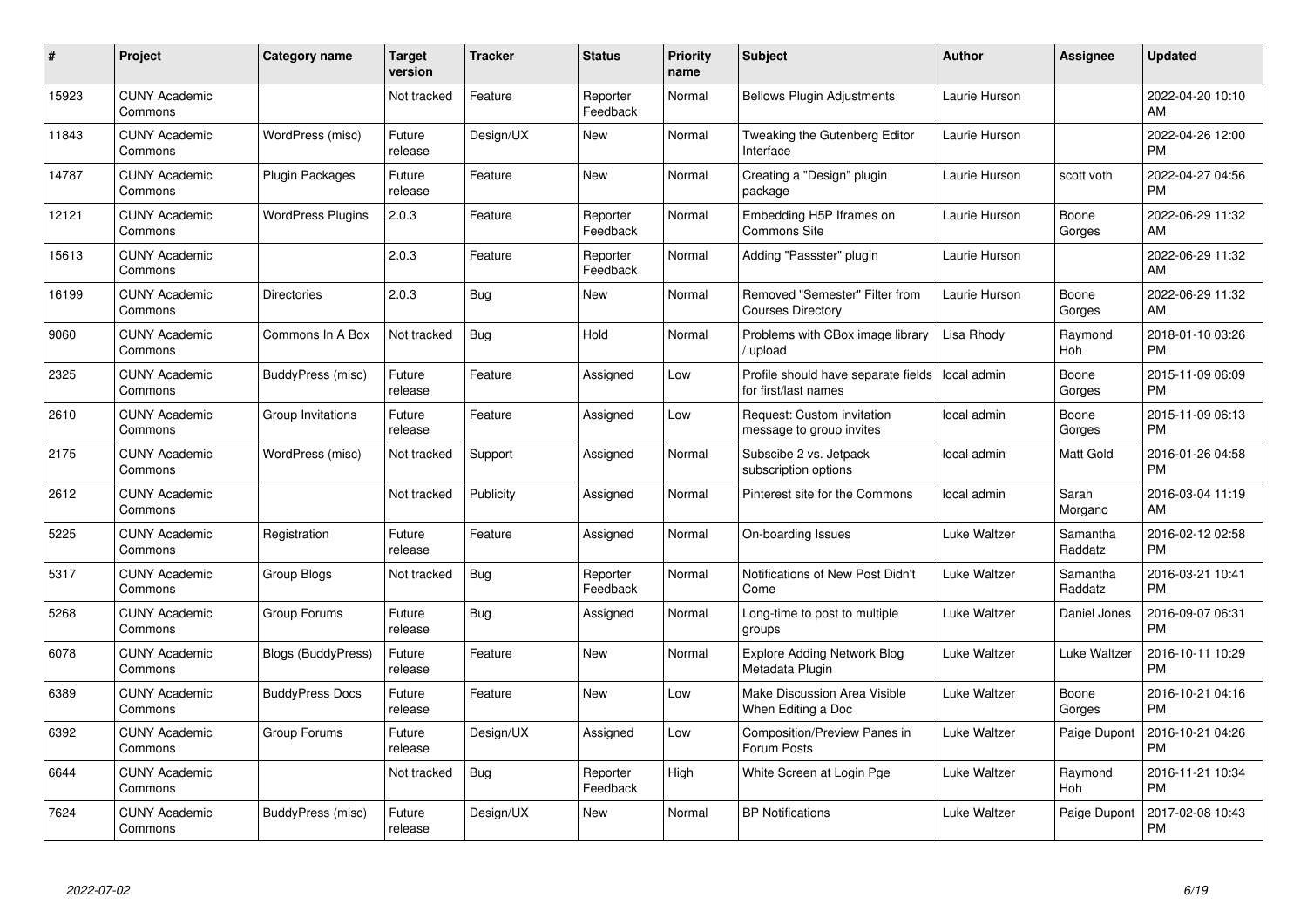| #     | Project                         | <b>Category name</b>      | Target<br>version | <b>Tracker</b> | <b>Status</b>        | Priority<br>name | <b>Subject</b>                                              | <b>Author</b> | <b>Assignee</b>     | <b>Updated</b>                |
|-------|---------------------------------|---------------------------|-------------------|----------------|----------------------|------------------|-------------------------------------------------------------|---------------|---------------------|-------------------------------|
| 15923 | <b>CUNY Academic</b><br>Commons |                           | Not tracked       | Feature        | Reporter<br>Feedback | Normal           | <b>Bellows Plugin Adjustments</b>                           | Laurie Hurson |                     | 2022-04-20 10:10<br>AM        |
| 11843 | <b>CUNY Academic</b><br>Commons | WordPress (misc)          | Future<br>release | Design/UX      | New                  | Normal           | Tweaking the Gutenberg Editor<br>Interface                  | Laurie Hurson |                     | 2022-04-26 12:00<br><b>PM</b> |
| 14787 | <b>CUNY Academic</b><br>Commons | Plugin Packages           | Future<br>release | Feature        | <b>New</b>           | Normal           | Creating a "Design" plugin<br>package                       | Laurie Hurson | scott voth          | 2022-04-27 04:56<br><b>PM</b> |
| 12121 | <b>CUNY Academic</b><br>Commons | <b>WordPress Plugins</b>  | 2.0.3             | Feature        | Reporter<br>Feedback | Normal           | Embedding H5P Iframes on<br><b>Commons Site</b>             | Laurie Hurson | Boone<br>Gorges     | 2022-06-29 11:32<br><b>AM</b> |
| 15613 | <b>CUNY Academic</b><br>Commons |                           | 2.0.3             | Feature        | Reporter<br>Feedback | Normal           | Adding "Passster" plugin                                    | Laurie Hurson |                     | 2022-06-29 11:32<br>AM        |
| 16199 | <b>CUNY Academic</b><br>Commons | <b>Directories</b>        | 2.0.3             | <b>Bug</b>     | <b>New</b>           | Normal           | Removed "Semester" Filter from<br><b>Courses Directory</b>  | Laurie Hurson | Boone<br>Gorges     | 2022-06-29 11:32<br><b>AM</b> |
| 9060  | <b>CUNY Academic</b><br>Commons | Commons In A Box          | Not tracked       | Bug            | Hold                 | Normal           | Problems with CBox image library<br>/ upload                | Lisa Rhody    | Raymond<br>Hoh      | 2018-01-10 03:26<br><b>PM</b> |
| 2325  | <b>CUNY Academic</b><br>Commons | BuddyPress (misc)         | Future<br>release | Feature        | Assigned             | Low              | Profile should have separate fields<br>for first/last names | local admin   | Boone<br>Gorges     | 2015-11-09 06:09<br><b>PM</b> |
| 2610  | <b>CUNY Academic</b><br>Commons | Group Invitations         | Future<br>release | Feature        | Assigned             | Low              | Request: Custom invitation<br>message to group invites      | local admin   | Boone<br>Gorges     | 2015-11-09 06:13<br><b>PM</b> |
| 2175  | <b>CUNY Academic</b><br>Commons | WordPress (misc)          | Not tracked       | Support        | Assigned             | Normal           | Subscibe 2 vs. Jetpack<br>subscription options              | local admin   | Matt Gold           | 2016-01-26 04:58<br><b>PM</b> |
| 2612  | <b>CUNY Academic</b><br>Commons |                           | Not tracked       | Publicity      | Assigned             | Normal           | Pinterest site for the Commons                              | local admin   | Sarah<br>Morgano    | 2016-03-04 11:19<br>AM        |
| 5225  | <b>CUNY Academic</b><br>Commons | Registration              | Future<br>release | Feature        | Assigned             | Normal           | On-boarding Issues                                          | Luke Waltzer  | Samantha<br>Raddatz | 2016-02-12 02:58<br><b>PM</b> |
| 5317  | <b>CUNY Academic</b><br>Commons | Group Blogs               | Not tracked       | <b>Bug</b>     | Reporter<br>Feedback | Normal           | Notifications of New Post Didn't<br>Come                    | Luke Waltzer  | Samantha<br>Raddatz | 2016-03-21 10:41<br><b>PM</b> |
| 5268  | <b>CUNY Academic</b><br>Commons | Group Forums              | Future<br>release | Bug            | Assigned             | Normal           | Long-time to post to multiple<br>groups                     | Luke Waltzer  | Daniel Jones        | 2016-09-07 06:31<br><b>PM</b> |
| 6078  | <b>CUNY Academic</b><br>Commons | <b>Blogs (BuddyPress)</b> | Future<br>release | Feature        | New                  | Normal           | <b>Explore Adding Network Blog</b><br>Metadata Plugin       | Luke Waltzer  | Luke Waltzer        | 2016-10-11 10:29<br><b>PM</b> |
| 6389  | <b>CUNY Academic</b><br>Commons | <b>BuddyPress Docs</b>    | Future<br>release | Feature        | New                  | Low              | Make Discussion Area Visible<br>When Editing a Doc          | Luke Waltzer  | Boone<br>Gorges     | 2016-10-21 04:16<br><b>PM</b> |
| 6392  | <b>CUNY Academic</b><br>Commons | Group Forums              | Future<br>release | Design/UX      | Assigned             | Low              | Composition/Preview Panes in<br>Forum Posts                 | Luke Waltzer  | Paige Dupont        | 2016-10-21 04:26<br><b>PM</b> |
| 6644  | <b>CUNY Academic</b><br>Commons |                           | Not tracked       | Bug            | Reporter<br>Feedback | High             | White Screen at Login Pge                                   | Luke Waltzer  | Raymond<br>Hoh      | 2016-11-21 10:34<br><b>PM</b> |
| 7624  | <b>CUNY Academic</b><br>Commons | BuddyPress (misc)         | Future<br>release | Design/UX      | <b>New</b>           | Normal           | <b>BP Notifications</b>                                     | Luke Waltzer  | Paige Dupont        | 2017-02-08 10:43<br>PM        |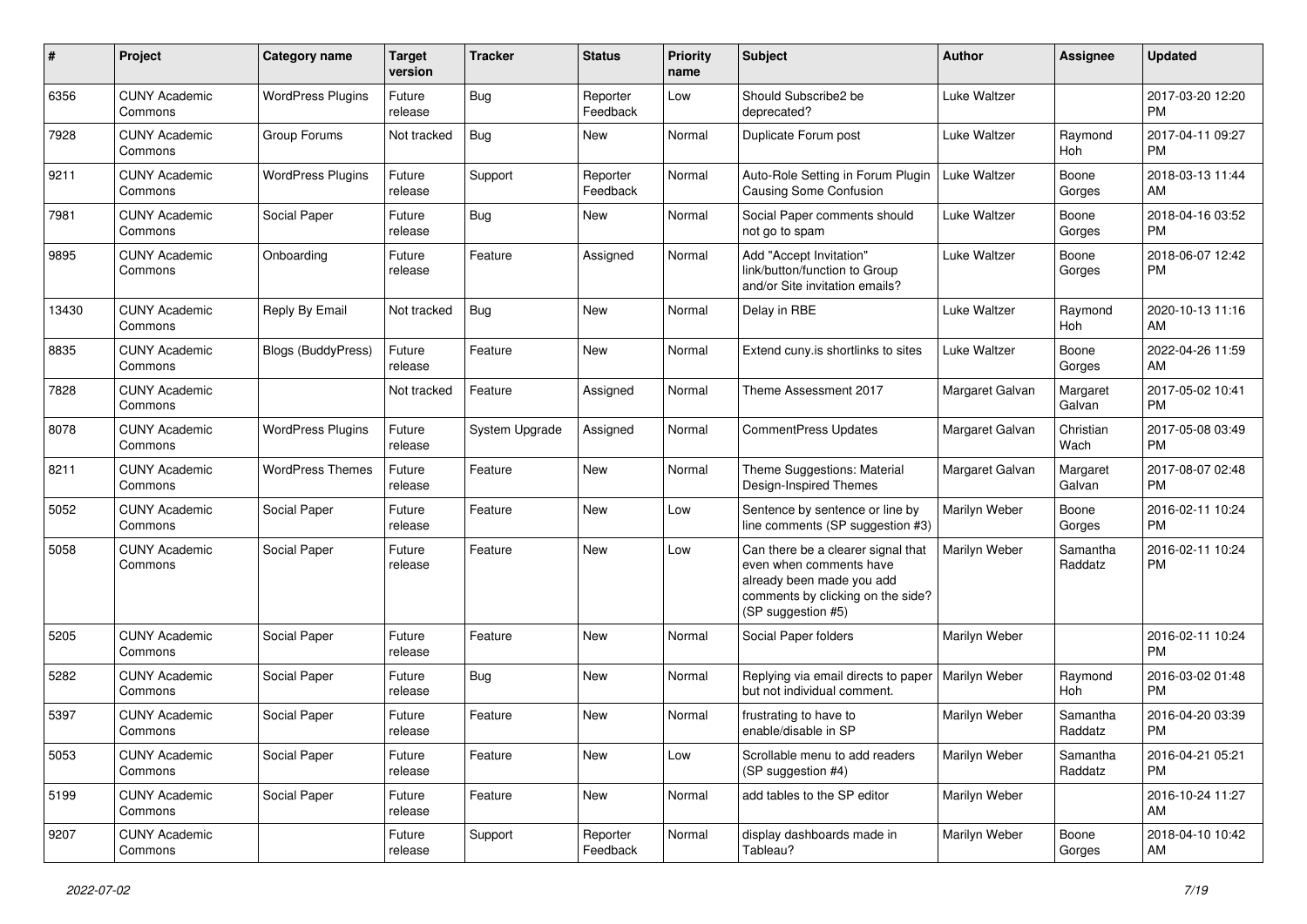| #     | Project                         | <b>Category name</b>      | <b>Target</b><br>version | <b>Tracker</b> | <b>Status</b>        | Priority<br>name | <b>Subject</b>                                                                                                                                        | Author          | <b>Assignee</b>     | <b>Updated</b>                |
|-------|---------------------------------|---------------------------|--------------------------|----------------|----------------------|------------------|-------------------------------------------------------------------------------------------------------------------------------------------------------|-----------------|---------------------|-------------------------------|
| 6356  | <b>CUNY Academic</b><br>Commons | <b>WordPress Plugins</b>  | Future<br>release        | <b>Bug</b>     | Reporter<br>Feedback | Low              | Should Subscribe2 be<br>deprecated?                                                                                                                   | Luke Waltzer    |                     | 2017-03-20 12:20<br><b>PM</b> |
| 7928  | <b>CUNY Academic</b><br>Commons | Group Forums              | Not tracked              | Bug            | New                  | Normal           | Duplicate Forum post                                                                                                                                  | Luke Waltzer    | Raymond<br>Hoh      | 2017-04-11 09:27<br><b>PM</b> |
| 9211  | <b>CUNY Academic</b><br>Commons | <b>WordPress Plugins</b>  | Future<br>release        | Support        | Reporter<br>Feedback | Normal           | Auto-Role Setting in Forum Plugin<br>Causing Some Confusion                                                                                           | Luke Waltzer    | Boone<br>Gorges     | 2018-03-13 11:44<br>AM        |
| 7981  | <b>CUNY Academic</b><br>Commons | Social Paper              | Future<br>release        | Bug            | New                  | Normal           | Social Paper comments should<br>not go to spam                                                                                                        | Luke Waltzer    | Boone<br>Gorges     | 2018-04-16 03:52<br><b>PM</b> |
| 9895  | <b>CUNY Academic</b><br>Commons | Onboarding                | Future<br>release        | Feature        | Assigned             | Normal           | Add "Accept Invitation"<br>link/button/function to Group<br>and/or Site invitation emails?                                                            | Luke Waltzer    | Boone<br>Gorges     | 2018-06-07 12:42<br><b>PM</b> |
| 13430 | <b>CUNY Academic</b><br>Commons | Reply By Email            | Not tracked              | Bug            | <b>New</b>           | Normal           | Delay in RBE                                                                                                                                          | Luke Waltzer    | Raymond<br>Hoh      | 2020-10-13 11:16<br>AM        |
| 8835  | <b>CUNY Academic</b><br>Commons | <b>Blogs (BuddyPress)</b> | Future<br>release        | Feature        | New                  | Normal           | Extend cuny is shortlinks to sites                                                                                                                    | Luke Waltzer    | Boone<br>Gorges     | 2022-04-26 11:59<br>AM        |
| 7828  | <b>CUNY Academic</b><br>Commons |                           | Not tracked              | Feature        | Assigned             | Normal           | Theme Assessment 2017                                                                                                                                 | Margaret Galvan | Margaret<br>Galvan  | 2017-05-02 10:41<br><b>PM</b> |
| 8078  | <b>CUNY Academic</b><br>Commons | <b>WordPress Plugins</b>  | Future<br>release        | System Upgrade | Assigned             | Normal           | <b>CommentPress Updates</b>                                                                                                                           | Margaret Galvan | Christian<br>Wach   | 2017-05-08 03:49<br><b>PM</b> |
| 8211  | <b>CUNY Academic</b><br>Commons | <b>WordPress Themes</b>   | Future<br>release        | Feature        | New                  | Normal           | Theme Suggestions: Material<br>Design-Inspired Themes                                                                                                 | Margaret Galvan | Margaret<br>Galvan  | 2017-08-07 02:48<br><b>PM</b> |
| 5052  | <b>CUNY Academic</b><br>Commons | Social Paper              | Future<br>release        | Feature        | <b>New</b>           | Low              | Sentence by sentence or line by<br>line comments (SP suggestion #3)                                                                                   | Marilyn Weber   | Boone<br>Gorges     | 2016-02-11 10:24<br><b>PM</b> |
| 5058  | <b>CUNY Academic</b><br>Commons | Social Paper              | Future<br>release        | Feature        | <b>New</b>           | Low              | Can there be a clearer signal that<br>even when comments have<br>already been made you add<br>comments by clicking on the side?<br>(SP suggestion #5) | Marilyn Weber   | Samantha<br>Raddatz | 2016-02-11 10:24<br><b>PM</b> |
| 5205  | <b>CUNY Academic</b><br>Commons | Social Paper              | Future<br>release        | Feature        | <b>New</b>           | Normal           | Social Paper folders                                                                                                                                  | Marilyn Weber   |                     | 2016-02-11 10:24<br><b>PM</b> |
| 5282  | <b>CUNY Academic</b><br>Commons | Social Paper              | Future<br>release        | Bug            | New                  | Normal           | Replying via email directs to paper<br>but not individual comment.                                                                                    | Marilyn Weber   | Raymond<br>Hoh      | 2016-03-02 01:48<br><b>PM</b> |
| 5397  | <b>CUNY Academic</b><br>Commons | Social Paper              | Future<br>release        | Feature        | <b>New</b>           | Normal           | frustrating to have to<br>enable/disable in SP                                                                                                        | Marilyn Weber   | Samantha<br>Raddatz | 2016-04-20 03:39<br><b>PM</b> |
| 5053  | <b>CUNY Academic</b><br>Commons | Social Paper              | Future<br>release        | Feature        | New                  | Low              | Scrollable menu to add readers<br>(SP suggestion #4)                                                                                                  | Marilyn Weber   | Samantha<br>Raddatz | 2016-04-21 05:21<br><b>PM</b> |
| 5199  | <b>CUNY Academic</b><br>Commons | Social Paper              | Future<br>release        | Feature        | New                  | Normal           | add tables to the SP editor                                                                                                                           | Marilyn Weber   |                     | 2016-10-24 11:27<br>AM        |
| 9207  | <b>CUNY Academic</b><br>Commons |                           | Future<br>release        | Support        | Reporter<br>Feedback | Normal           | display dashboards made in<br>Tableau?                                                                                                                | Marilyn Weber   | Boone<br>Gorges     | 2018-04-10 10:42<br>AM        |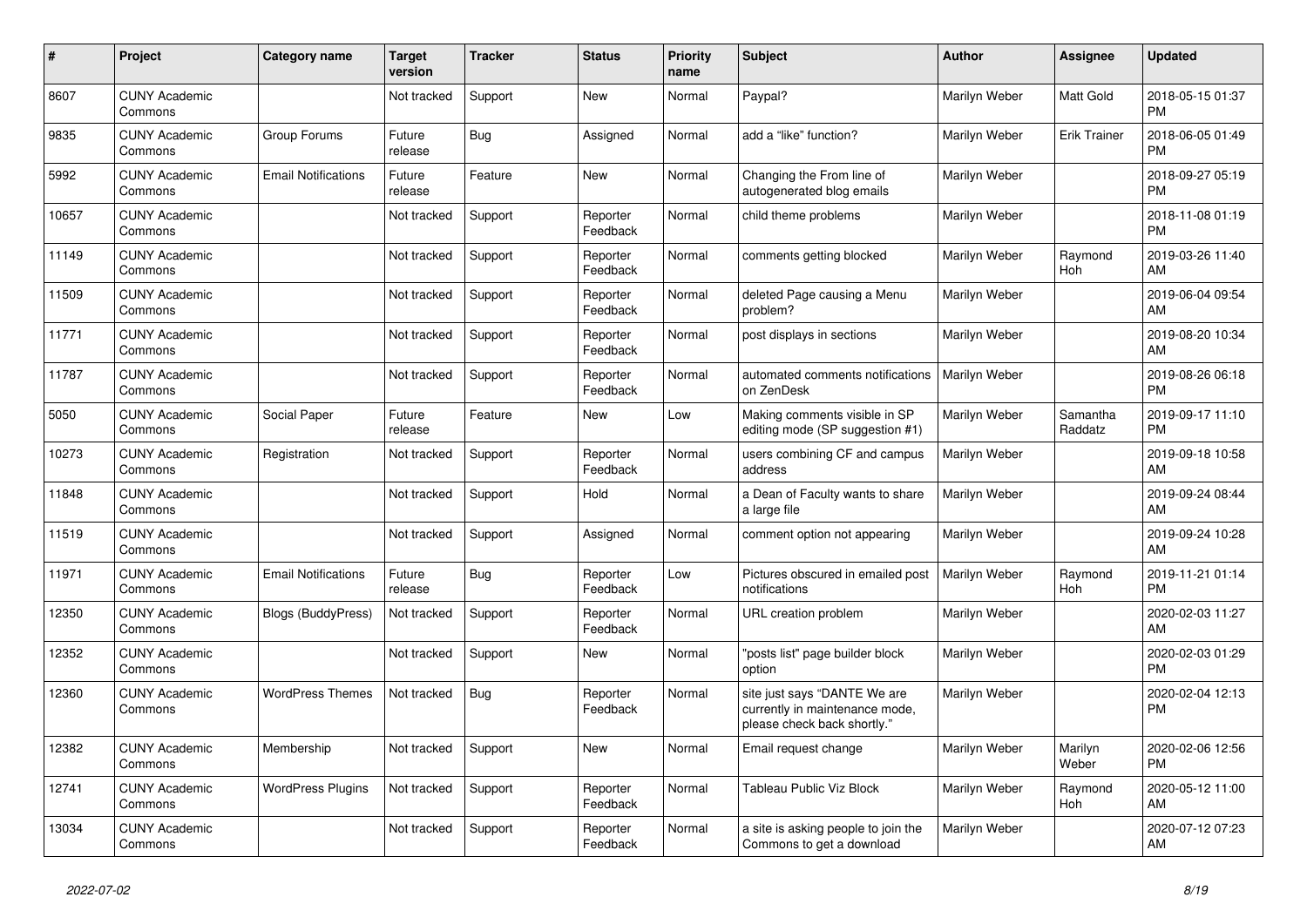| #     | <b>Project</b>                  | Category name              | <b>Target</b><br>version | <b>Tracker</b> | <b>Status</b>        | <b>Priority</b><br>name | <b>Subject</b>                                                                                | <b>Author</b> | Assignee            | <b>Updated</b>                |
|-------|---------------------------------|----------------------------|--------------------------|----------------|----------------------|-------------------------|-----------------------------------------------------------------------------------------------|---------------|---------------------|-------------------------------|
| 8607  | <b>CUNY Academic</b><br>Commons |                            | Not tracked              | Support        | <b>New</b>           | Normal                  | Paypal?                                                                                       | Marilyn Weber | Matt Gold           | 2018-05-15 01:37<br><b>PM</b> |
| 9835  | <b>CUNY Academic</b><br>Commons | Group Forums               | Future<br>release        | Bug            | Assigned             | Normal                  | add a "like" function?                                                                        | Marilyn Weber | <b>Erik Trainer</b> | 2018-06-05 01:49<br><b>PM</b> |
| 5992  | <b>CUNY Academic</b><br>Commons | <b>Email Notifications</b> | Future<br>release        | Feature        | New                  | Normal                  | Changing the From line of<br>autogenerated blog emails                                        | Marilyn Weber |                     | 2018-09-27 05:19<br><b>PM</b> |
| 10657 | <b>CUNY Academic</b><br>Commons |                            | Not tracked              | Support        | Reporter<br>Feedback | Normal                  | child theme problems                                                                          | Marilyn Weber |                     | 2018-11-08 01:19<br><b>PM</b> |
| 11149 | <b>CUNY Academic</b><br>Commons |                            | Not tracked              | Support        | Reporter<br>Feedback | Normal                  | comments getting blocked                                                                      | Marilyn Weber | Raymond<br>Hoh      | 2019-03-26 11:40<br>AM        |
| 11509 | <b>CUNY Academic</b><br>Commons |                            | Not tracked              | Support        | Reporter<br>Feedback | Normal                  | deleted Page causing a Menu<br>problem?                                                       | Marilyn Weber |                     | 2019-06-04 09:54<br>AM        |
| 11771 | <b>CUNY Academic</b><br>Commons |                            | Not tracked              | Support        | Reporter<br>Feedback | Normal                  | post displays in sections                                                                     | Marilyn Weber |                     | 2019-08-20 10:34<br>AM        |
| 11787 | <b>CUNY Academic</b><br>Commons |                            | Not tracked              | Support        | Reporter<br>Feedback | Normal                  | automated comments notifications<br>on ZenDesk                                                | Marilyn Weber |                     | 2019-08-26 06:18<br><b>PM</b> |
| 5050  | <b>CUNY Academic</b><br>Commons | Social Paper               | Future<br>release        | Feature        | <b>New</b>           | Low                     | Making comments visible in SP<br>editing mode (SP suggestion #1)                              | Marilyn Weber | Samantha<br>Raddatz | 2019-09-17 11:10<br><b>PM</b> |
| 10273 | <b>CUNY Academic</b><br>Commons | Registration               | Not tracked              | Support        | Reporter<br>Feedback | Normal                  | users combining CF and campus<br>address                                                      | Marilyn Weber |                     | 2019-09-18 10:58<br>AM        |
| 11848 | <b>CUNY Academic</b><br>Commons |                            | Not tracked              | Support        | Hold                 | Normal                  | a Dean of Faculty wants to share<br>a large file                                              | Marilyn Weber |                     | 2019-09-24 08:44<br>AM        |
| 11519 | <b>CUNY Academic</b><br>Commons |                            | Not tracked              | Support        | Assigned             | Normal                  | comment option not appearing                                                                  | Marilyn Weber |                     | 2019-09-24 10:28<br>AM        |
| 11971 | <b>CUNY Academic</b><br>Commons | <b>Email Notifications</b> | Future<br>release        | Bug            | Reporter<br>Feedback | Low                     | Pictures obscured in emailed post<br>notifications                                            | Marilyn Weber | Raymond<br>Hoh      | 2019-11-21 01:14<br><b>PM</b> |
| 12350 | <b>CUNY Academic</b><br>Commons | Blogs (BuddyPress)         | Not tracked              | Support        | Reporter<br>Feedback | Normal                  | URL creation problem                                                                          | Marilyn Weber |                     | 2020-02-03 11:27<br>AM        |
| 12352 | <b>CUNY Academic</b><br>Commons |                            | Not tracked              | Support        | <b>New</b>           | Normal                  | "posts list" page builder block<br>option                                                     | Marilyn Weber |                     | 2020-02-03 01:29<br><b>PM</b> |
| 12360 | <b>CUNY Academic</b><br>Commons | <b>WordPress Themes</b>    | Not tracked              | <b>Bug</b>     | Reporter<br>Feedback | Normal                  | site just says "DANTE We are<br>currently in maintenance mode,<br>please check back shortly." | Marilyn Weber |                     | 2020-02-04 12:13<br><b>PM</b> |
| 12382 | <b>CUNY Academic</b><br>Commons | Membership                 | Not tracked              | Support        | <b>New</b>           | Normal                  | Email request change                                                                          | Marilyn Weber | Marilyn<br>Weber    | 2020-02-06 12:56<br><b>PM</b> |
| 12741 | <b>CUNY Academic</b><br>Commons | <b>WordPress Plugins</b>   | Not tracked              | Support        | Reporter<br>Feedback | Normal                  | Tableau Public Viz Block                                                                      | Marilyn Weber | Raymond<br>Hoh      | 2020-05-12 11:00<br>AM        |
| 13034 | <b>CUNY Academic</b><br>Commons |                            | Not tracked              | Support        | Reporter<br>Feedback | Normal                  | a site is asking people to join the<br>Commons to get a download                              | Marilyn Weber |                     | 2020-07-12 07:23<br>AM        |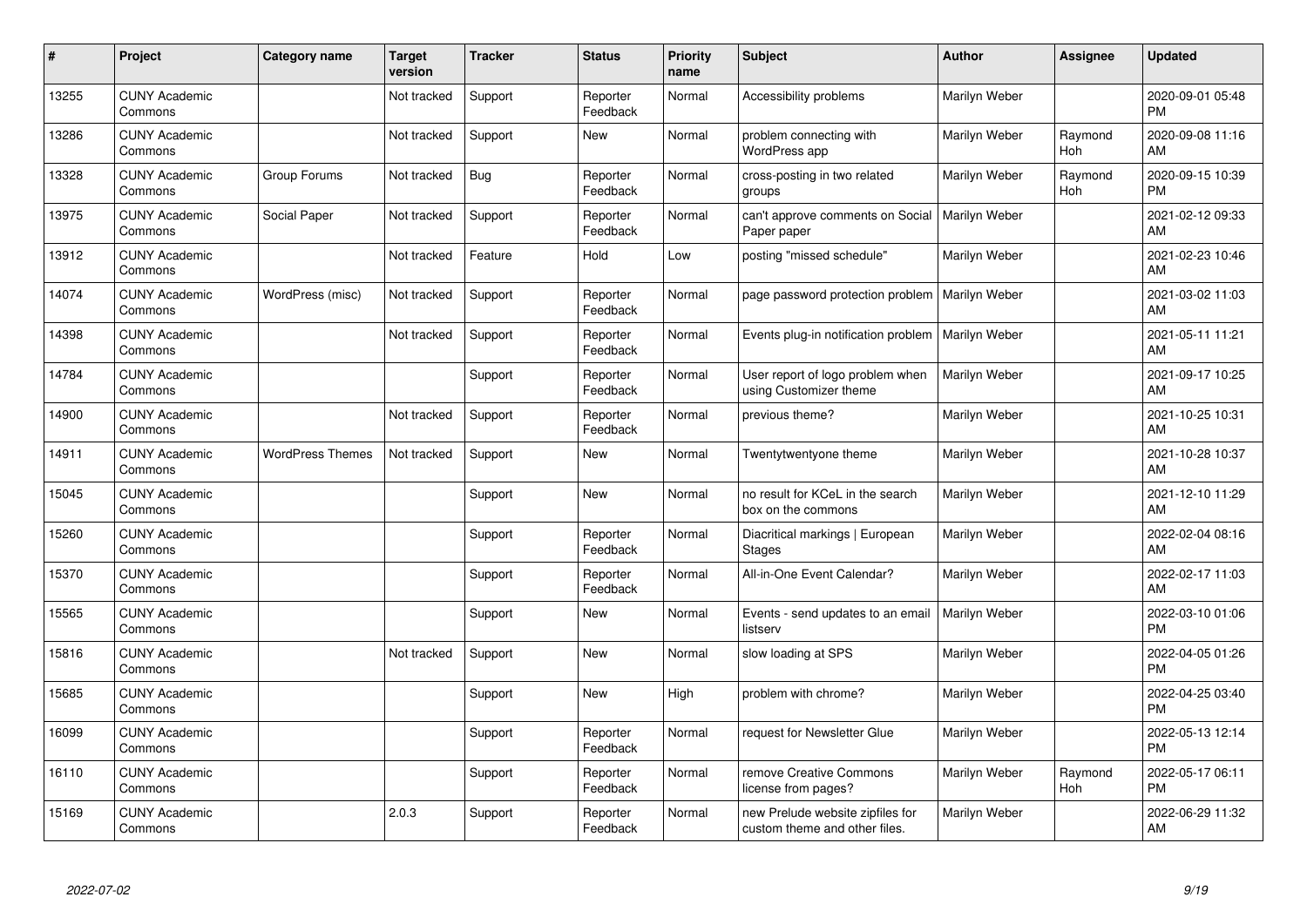| #     | Project                         | Category name           | <b>Target</b><br>version | <b>Tracker</b> | <b>Status</b>        | <b>Priority</b><br>name | <b>Subject</b>                                                    | <b>Author</b> | <b>Assignee</b> | <b>Updated</b>                |
|-------|---------------------------------|-------------------------|--------------------------|----------------|----------------------|-------------------------|-------------------------------------------------------------------|---------------|-----------------|-------------------------------|
| 13255 | <b>CUNY Academic</b><br>Commons |                         | Not tracked              | Support        | Reporter<br>Feedback | Normal                  | Accessibility problems                                            | Marilyn Weber |                 | 2020-09-01 05:48<br><b>PM</b> |
| 13286 | <b>CUNY Academic</b><br>Commons |                         | Not tracked              | Support        | <b>New</b>           | Normal                  | problem connecting with<br>WordPress app                          | Marilyn Weber | Raymond<br>Hoh  | 2020-09-08 11:16<br>AM        |
| 13328 | <b>CUNY Academic</b><br>Commons | Group Forums            | Not tracked              | Bug            | Reporter<br>Feedback | Normal                  | cross-posting in two related<br>groups                            | Marilyn Weber | Raymond<br>Hoh  | 2020-09-15 10:39<br><b>PM</b> |
| 13975 | <b>CUNY Academic</b><br>Commons | Social Paper            | Not tracked              | Support        | Reporter<br>Feedback | Normal                  | can't approve comments on Social<br>Paper paper                   | Marilyn Weber |                 | 2021-02-12 09:33<br>AM        |
| 13912 | <b>CUNY Academic</b><br>Commons |                         | Not tracked              | Feature        | Hold                 | Low                     | posting "missed schedule"                                         | Marilyn Weber |                 | 2021-02-23 10:46<br>AM        |
| 14074 | <b>CUNY Academic</b><br>Commons | WordPress (misc)        | Not tracked              | Support        | Reporter<br>Feedback | Normal                  | page password protection problem                                  | Marilyn Weber |                 | 2021-03-02 11:03<br>AM        |
| 14398 | <b>CUNY Academic</b><br>Commons |                         | Not tracked              | Support        | Reporter<br>Feedback | Normal                  | Events plug-in notification problem                               | Marilyn Weber |                 | 2021-05-11 11:21<br>AM        |
| 14784 | <b>CUNY Academic</b><br>Commons |                         |                          | Support        | Reporter<br>Feedback | Normal                  | User report of logo problem when<br>using Customizer theme        | Marilyn Weber |                 | 2021-09-17 10:25<br>AM        |
| 14900 | <b>CUNY Academic</b><br>Commons |                         | Not tracked              | Support        | Reporter<br>Feedback | Normal                  | previous theme?                                                   | Marilyn Weber |                 | 2021-10-25 10:31<br>AM        |
| 14911 | <b>CUNY Academic</b><br>Commons | <b>WordPress Themes</b> | Not tracked              | Support        | <b>New</b>           | Normal                  | Twentytwentyone theme                                             | Marilyn Weber |                 | 2021-10-28 10:37<br>AM        |
| 15045 | <b>CUNY Academic</b><br>Commons |                         |                          | Support        | <b>New</b>           | Normal                  | no result for KCeL in the search<br>box on the commons            | Marilyn Weber |                 | 2021-12-10 11:29<br>AM        |
| 15260 | <b>CUNY Academic</b><br>Commons |                         |                          | Support        | Reporter<br>Feedback | Normal                  | Diacritical markings   European<br><b>Stages</b>                  | Marilyn Weber |                 | 2022-02-04 08:16<br>AM        |
| 15370 | <b>CUNY Academic</b><br>Commons |                         |                          | Support        | Reporter<br>Feedback | Normal                  | All-in-One Event Calendar?                                        | Marilyn Weber |                 | 2022-02-17 11:03<br>AM        |
| 15565 | <b>CUNY Academic</b><br>Commons |                         |                          | Support        | <b>New</b>           | Normal                  | Events - send updates to an email<br>listserv                     | Marilyn Weber |                 | 2022-03-10 01:06<br><b>PM</b> |
| 15816 | <b>CUNY Academic</b><br>Commons |                         | Not tracked              | Support        | <b>New</b>           | Normal                  | slow loading at SPS                                               | Marilyn Weber |                 | 2022-04-05 01:26<br><b>PM</b> |
| 15685 | <b>CUNY Academic</b><br>Commons |                         |                          | Support        | <b>New</b>           | High                    | problem with chrome?                                              | Marilyn Weber |                 | 2022-04-25 03:40<br><b>PM</b> |
| 16099 | <b>CUNY Academic</b><br>Commons |                         |                          | Support        | Reporter<br>Feedback | Normal                  | request for Newsletter Glue                                       | Marilyn Weber |                 | 2022-05-13 12:14<br><b>PM</b> |
| 16110 | <b>CUNY Academic</b><br>Commons |                         |                          | Support        | Reporter<br>Feedback | Normal                  | remove Creative Commons<br>license from pages?                    | Marilyn Weber | Raymond<br>Hoh  | 2022-05-17 06:11<br><b>PM</b> |
| 15169 | <b>CUNY Academic</b><br>Commons |                         | 2.0.3                    | Support        | Reporter<br>Feedback | Normal                  | new Prelude website zipfiles for<br>custom theme and other files. | Marilyn Weber |                 | 2022-06-29 11:32<br>AM        |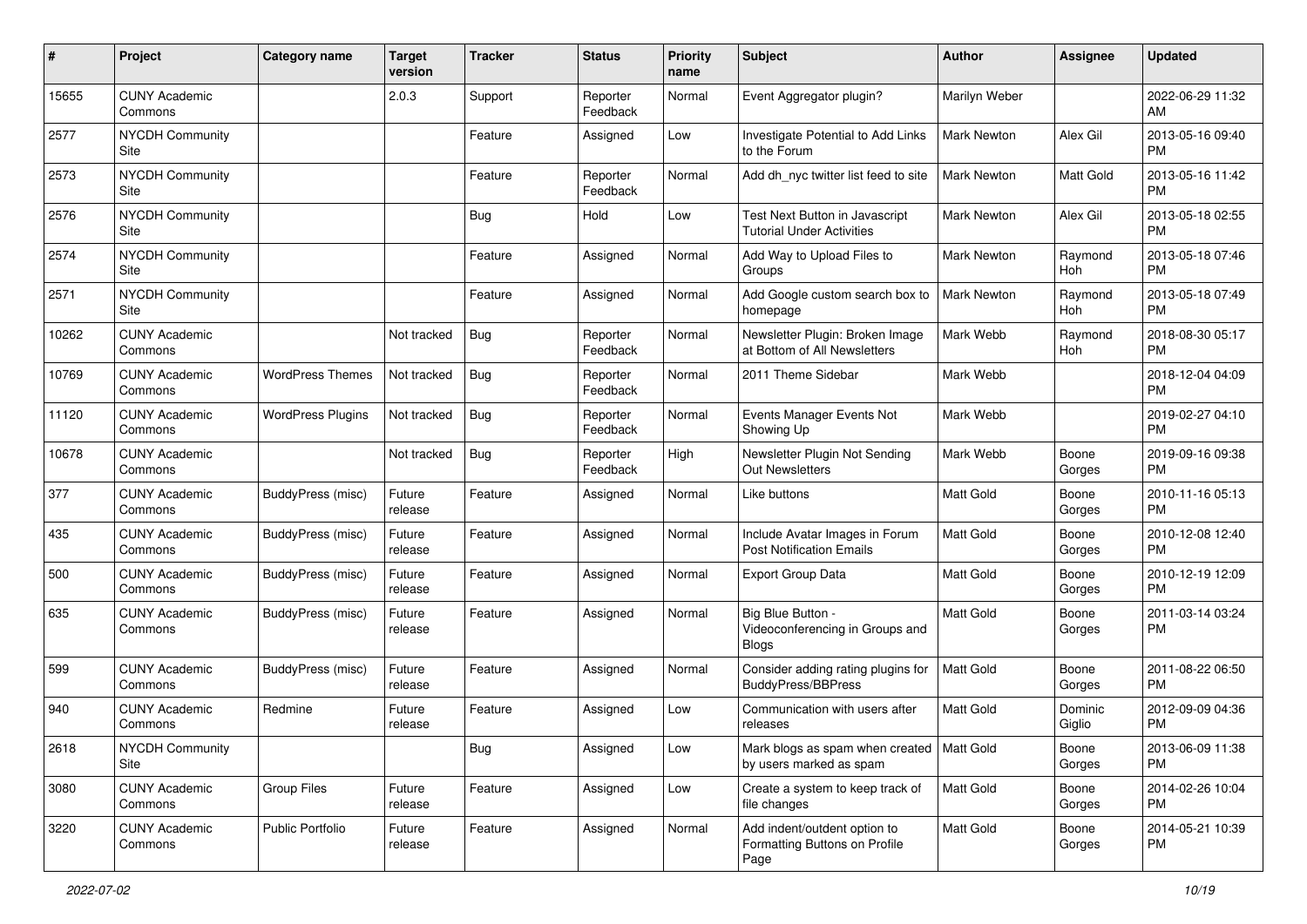| #     | Project                         | <b>Category name</b>     | <b>Target</b><br>version | <b>Tracker</b> | <b>Status</b>        | Priority<br>name | <b>Subject</b>                                                         | <b>Author</b>      | <b>Assignee</b>   | <b>Updated</b>                |
|-------|---------------------------------|--------------------------|--------------------------|----------------|----------------------|------------------|------------------------------------------------------------------------|--------------------|-------------------|-------------------------------|
| 15655 | <b>CUNY Academic</b><br>Commons |                          | 2.0.3                    | Support        | Reporter<br>Feedback | Normal           | Event Aggregator plugin?                                               | Marilyn Weber      |                   | 2022-06-29 11:32<br>AM.       |
| 2577  | NYCDH Community<br>Site         |                          |                          | Feature        | Assigned             | Low              | Investigate Potential to Add Links<br>to the Forum                     | Mark Newton        | Alex Gil          | 2013-05-16 09:40<br><b>PM</b> |
| 2573  | <b>NYCDH Community</b><br>Site  |                          |                          | Feature        | Reporter<br>Feedback | Normal           | Add dh_nyc twitter list feed to site                                   | <b>Mark Newton</b> | Matt Gold         | 2013-05-16 11:42<br><b>PM</b> |
| 2576  | <b>NYCDH Community</b><br>Site  |                          |                          | Bug            | Hold                 | Low              | Test Next Button in Javascript<br><b>Tutorial Under Activities</b>     | Mark Newton        | Alex Gil          | 2013-05-18 02:55<br><b>PM</b> |
| 2574  | <b>NYCDH Community</b><br>Site  |                          |                          | Feature        | Assigned             | Normal           | Add Way to Upload Files to<br>Groups                                   | Mark Newton        | Raymond<br>Hoh    | 2013-05-18 07:46<br><b>PM</b> |
| 2571  | <b>NYCDH Community</b><br>Site  |                          |                          | Feature        | Assigned             | Normal           | Add Google custom search box to<br>homepage                            | Mark Newton        | Raymond<br>Hoh    | 2013-05-18 07:49<br><b>PM</b> |
| 10262 | <b>CUNY Academic</b><br>Commons |                          | Not tracked              | Bug            | Reporter<br>Feedback | Normal           | Newsletter Plugin: Broken Image<br>at Bottom of All Newsletters        | Mark Webb          | Raymond<br>Hoh    | 2018-08-30 05:17<br><b>PM</b> |
| 10769 | <b>CUNY Academic</b><br>Commons | <b>WordPress Themes</b>  | Not tracked              | Bug            | Reporter<br>Feedback | Normal           | 2011 Theme Sidebar                                                     | Mark Webb          |                   | 2018-12-04 04:09<br><b>PM</b> |
| 11120 | <b>CUNY Academic</b><br>Commons | <b>WordPress Plugins</b> | Not tracked              | Bug            | Reporter<br>Feedback | Normal           | Events Manager Events Not<br>Showing Up                                | Mark Webb          |                   | 2019-02-27 04:10<br><b>PM</b> |
| 10678 | <b>CUNY Academic</b><br>Commons |                          | Not tracked              | Bug            | Reporter<br>Feedback | High             | Newsletter Plugin Not Sending<br>Out Newsletters                       | Mark Webb          | Boone<br>Gorges   | 2019-09-16 09:38<br><b>PM</b> |
| 377   | <b>CUNY Academic</b><br>Commons | BuddyPress (misc)        | Future<br>release        | Feature        | Assigned             | Normal           | Like buttons                                                           | <b>Matt Gold</b>   | Boone<br>Gorges   | 2010-11-16 05:13<br><b>PM</b> |
| 435   | <b>CUNY Academic</b><br>Commons | <b>BuddyPress (misc)</b> | Future<br>release        | Feature        | Assigned             | Normal           | Include Avatar Images in Forum<br><b>Post Notification Emails</b>      | <b>Matt Gold</b>   | Boone<br>Gorges   | 2010-12-08 12:40<br><b>PM</b> |
| 500   | <b>CUNY Academic</b><br>Commons | BuddyPress (misc)        | Future<br>release        | Feature        | Assigned             | Normal           | <b>Export Group Data</b>                                               | Matt Gold          | Boone<br>Gorges   | 2010-12-19 12:09<br><b>PM</b> |
| 635   | <b>CUNY Academic</b><br>Commons | BuddyPress (misc)        | Future<br>release        | Feature        | Assigned             | Normal           | Big Blue Button -<br>Videoconferencing in Groups and<br><b>Blogs</b>   | Matt Gold          | Boone<br>Gorges   | 2011-03-14 03:24<br><b>PM</b> |
| 599   | <b>CUNY Academic</b><br>Commons | BuddyPress (misc)        | Future<br>release        | Feature        | Assigned             | Normal           | Consider adding rating plugins for<br><b>BuddyPress/BBPress</b>        | <b>Matt Gold</b>   | Boone<br>Gorges   | 2011-08-22 06:50<br><b>PM</b> |
| 940   | <b>CUNY Academic</b><br>Commons | Redmine                  | Future<br>release        | Feature        | Assigned             | Low              | Communication with users after<br>releases                             | <b>Matt Gold</b>   | Dominic<br>Giglio | 2012-09-09 04:36<br><b>PM</b> |
| 2618  | <b>NYCDH Community</b><br>Site  |                          |                          | <b>Bug</b>     | Assigned             | Low              | Mark blogs as spam when created   Matt Gold<br>by users marked as spam |                    | Boone<br>Gorges   | 2013-06-09 11:38<br><b>PM</b> |
| 3080  | <b>CUNY Academic</b><br>Commons | Group Files              | Future<br>release        | Feature        | Assigned             | Low              | Create a system to keep track of<br>file changes                       | Matt Gold          | Boone<br>Gorges   | 2014-02-26 10:04<br><b>PM</b> |
| 3220  | <b>CUNY Academic</b><br>Commons | Public Portfolio         | Future<br>release        | Feature        | Assigned             | Normal           | Add indent/outdent option to<br>Formatting Buttons on Profile<br>Page  | Matt Gold          | Boone<br>Gorges   | 2014-05-21 10:39<br>PM        |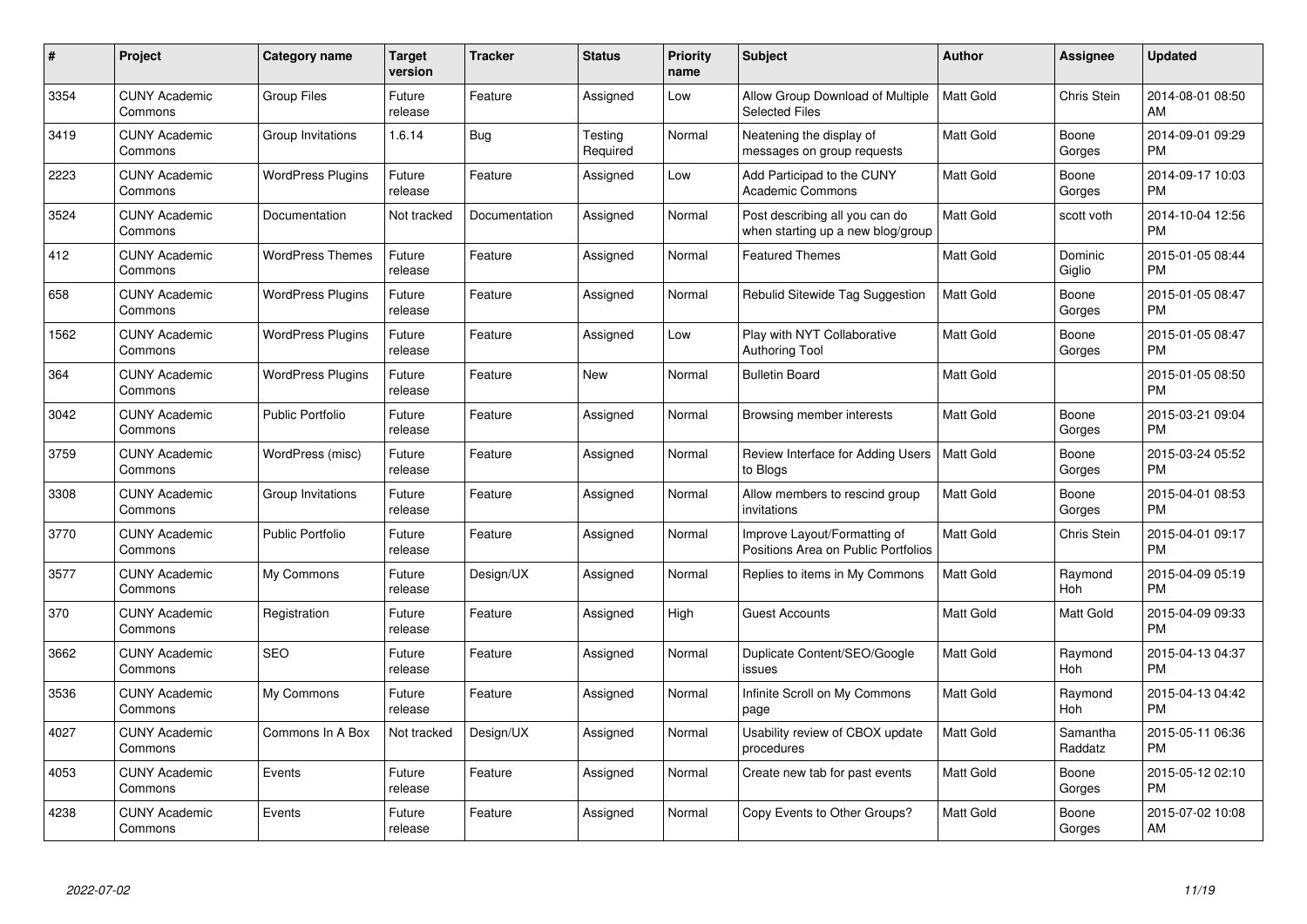| #    | Project                         | <b>Category name</b>     | <b>Target</b><br>version | <b>Tracker</b> | <b>Status</b>       | <b>Priority</b><br>name | <b>Subject</b>                                                      | <b>Author</b>    | Assignee            | <b>Updated</b>                |
|------|---------------------------------|--------------------------|--------------------------|----------------|---------------------|-------------------------|---------------------------------------------------------------------|------------------|---------------------|-------------------------------|
| 3354 | <b>CUNY Academic</b><br>Commons | <b>Group Files</b>       | Future<br>release        | Feature        | Assigned            | Low                     | Allow Group Download of Multiple<br><b>Selected Files</b>           | <b>Matt Gold</b> | Chris Stein         | 2014-08-01 08:50<br>AM        |
| 3419 | <b>CUNY Academic</b><br>Commons | Group Invitations        | 1.6.14                   | Bug            | Testing<br>Required | Normal                  | Neatening the display of<br>messages on group requests              | <b>Matt Gold</b> | Boone<br>Gorges     | 2014-09-01 09:29<br><b>PM</b> |
| 2223 | <b>CUNY Academic</b><br>Commons | <b>WordPress Plugins</b> | Future<br>release        | Feature        | Assigned            | Low                     | Add Participad to the CUNY<br><b>Academic Commons</b>               | <b>Matt Gold</b> | Boone<br>Gorges     | 2014-09-17 10:03<br><b>PM</b> |
| 3524 | <b>CUNY Academic</b><br>Commons | Documentation            | Not tracked              | Documentation  | Assigned            | Normal                  | Post describing all you can do<br>when starting up a new blog/group | <b>Matt Gold</b> | scott voth          | 2014-10-04 12:56<br><b>PM</b> |
| 412  | <b>CUNY Academic</b><br>Commons | <b>WordPress Themes</b>  | Future<br>release        | Feature        | Assigned            | Normal                  | <b>Featured Themes</b>                                              | <b>Matt Gold</b> | Dominic<br>Giglio   | 2015-01-05 08:44<br><b>PM</b> |
| 658  | <b>CUNY Academic</b><br>Commons | <b>WordPress Plugins</b> | Future<br>release        | Feature        | Assigned            | Normal                  | Rebulid Sitewide Tag Suggestion                                     | <b>Matt Gold</b> | Boone<br>Gorges     | 2015-01-05 08:47<br><b>PM</b> |
| 1562 | <b>CUNY Academic</b><br>Commons | <b>WordPress Plugins</b> | Future<br>release        | Feature        | Assigned            | Low                     | Play with NYT Collaborative<br><b>Authoring Tool</b>                | Matt Gold        | Boone<br>Gorges     | 2015-01-05 08:47<br><b>PM</b> |
| 364  | <b>CUNY Academic</b><br>Commons | <b>WordPress Plugins</b> | Future<br>release        | Feature        | <b>New</b>          | Normal                  | <b>Bulletin Board</b>                                               | Matt Gold        |                     | 2015-01-05 08:50<br><b>PM</b> |
| 3042 | <b>CUNY Academic</b><br>Commons | <b>Public Portfolio</b>  | Future<br>release        | Feature        | Assigned            | Normal                  | Browsing member interests                                           | <b>Matt Gold</b> | Boone<br>Gorges     | 2015-03-21 09:04<br><b>PM</b> |
| 3759 | <b>CUNY Academic</b><br>Commons | WordPress (misc)         | Future<br>release        | Feature        | Assigned            | Normal                  | Review Interface for Adding Users<br>to Blogs                       | <b>Matt Gold</b> | Boone<br>Gorges     | 2015-03-24 05:52<br><b>PM</b> |
| 3308 | <b>CUNY Academic</b><br>Commons | Group Invitations        | Future<br>release        | Feature        | Assigned            | Normal                  | Allow members to rescind group<br>invitations                       | Matt Gold        | Boone<br>Gorges     | 2015-04-01 08:53<br><b>PM</b> |
| 3770 | <b>CUNY Academic</b><br>Commons | <b>Public Portfolio</b>  | Future<br>release        | Feature        | Assigned            | Normal                  | Improve Layout/Formatting of<br>Positions Area on Public Portfolios | Matt Gold        | <b>Chris Stein</b>  | 2015-04-01 09:17<br><b>PM</b> |
| 3577 | <b>CUNY Academic</b><br>Commons | My Commons               | Future<br>release        | Design/UX      | Assigned            | Normal                  | Replies to items in My Commons                                      | Matt Gold        | Raymond<br>Hoh      | 2015-04-09 05:19<br><b>PM</b> |
| 370  | <b>CUNY Academic</b><br>Commons | Registration             | Future<br>release        | Feature        | Assigned            | High                    | <b>Guest Accounts</b>                                               | Matt Gold        | Matt Gold           | 2015-04-09 09:33<br>PM        |
| 3662 | <b>CUNY Academic</b><br>Commons | <b>SEO</b>               | Future<br>release        | Feature        | Assigned            | Normal                  | Duplicate Content/SEO/Google<br>issues                              | <b>Matt Gold</b> | Raymond<br>Hoh      | 2015-04-13 04:37<br><b>PM</b> |
| 3536 | <b>CUNY Academic</b><br>Commons | My Commons               | Future<br>release        | Feature        | Assigned            | Normal                  | Infinite Scroll on My Commons<br>page                               | Matt Gold        | Raymond<br>Hoh      | 2015-04-13 04:42<br><b>PM</b> |
| 4027 | <b>CUNY Academic</b><br>Commons | Commons In A Box         | Not tracked              | Design/UX      | Assigned            | Normal                  | Usability review of CBOX update<br>procedures                       | <b>Matt Gold</b> | Samantha<br>Raddatz | 2015-05-11 06:36<br><b>PM</b> |
| 4053 | <b>CUNY Academic</b><br>Commons | Events                   | Future<br>release        | Feature        | Assigned            | Normal                  | Create new tab for past events                                      | Matt Gold        | Boone<br>Gorges     | 2015-05-12 02:10<br><b>PM</b> |
| 4238 | CUNY Academic<br>Commons        | Events                   | Future<br>release        | Feature        | Assigned            | Normal                  | Copy Events to Other Groups?                                        | <b>Matt Gold</b> | Boone<br>Gorges     | 2015-07-02 10:08<br>AM        |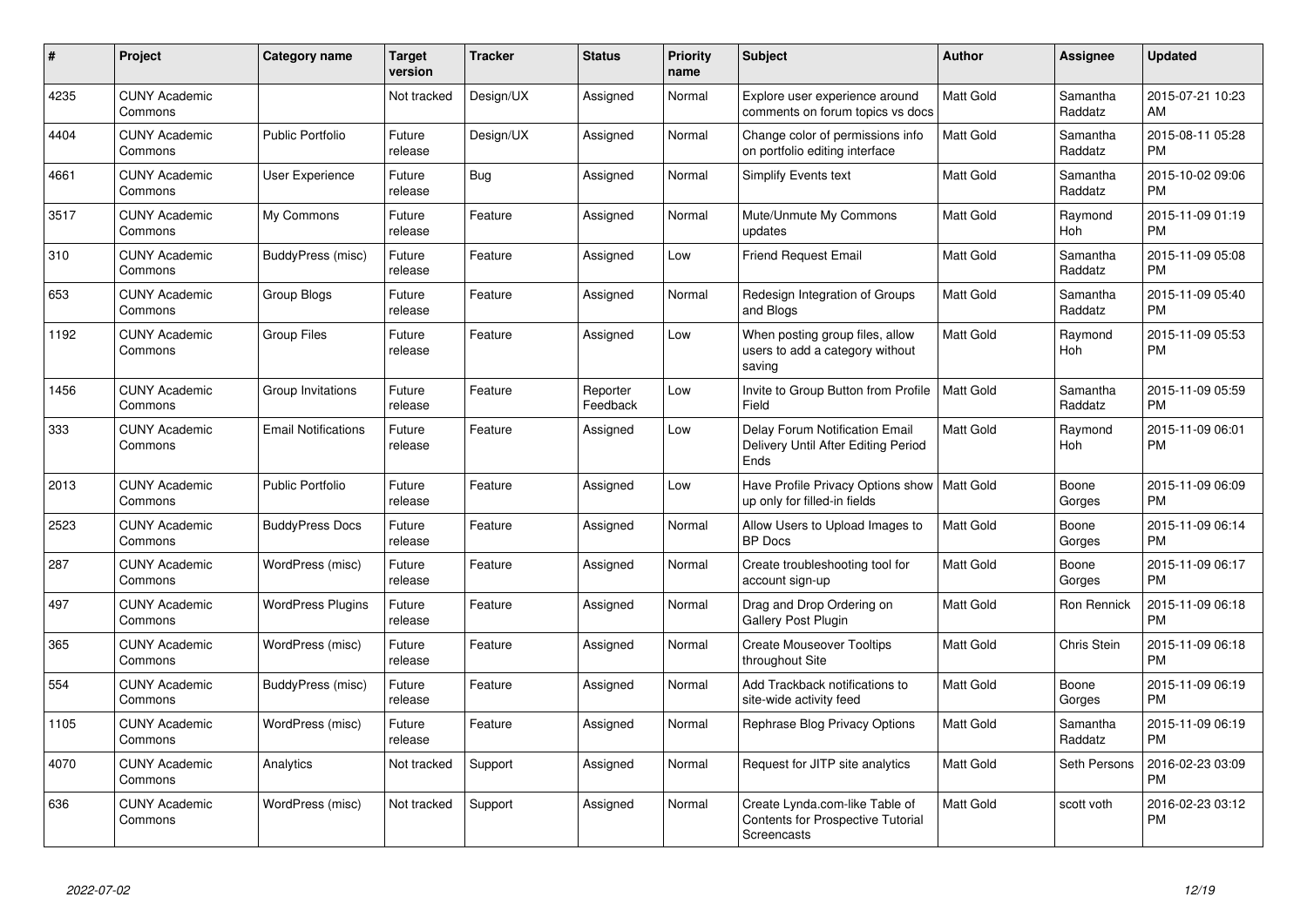| #    | Project                         | <b>Category name</b>       | <b>Target</b><br>version | <b>Tracker</b> | <b>Status</b>        | <b>Priority</b><br>name | <b>Subject</b>                                                                     | <b>Author</b>    | <b>Assignee</b>     | <b>Updated</b>                |
|------|---------------------------------|----------------------------|--------------------------|----------------|----------------------|-------------------------|------------------------------------------------------------------------------------|------------------|---------------------|-------------------------------|
| 4235 | <b>CUNY Academic</b><br>Commons |                            | Not tracked              | Design/UX      | Assigned             | Normal                  | Explore user experience around<br>comments on forum topics vs docs                 | <b>Matt Gold</b> | Samantha<br>Raddatz | 2015-07-21 10:23<br>AM        |
| 4404 | <b>CUNY Academic</b><br>Commons | <b>Public Portfolio</b>    | Future<br>release        | Design/UX      | Assigned             | Normal                  | Change color of permissions info<br>on portfolio editing interface                 | <b>Matt Gold</b> | Samantha<br>Raddatz | 2015-08-11 05:28<br><b>PM</b> |
| 4661 | <b>CUNY Academic</b><br>Commons | User Experience            | Future<br>release        | Bug            | Assigned             | Normal                  | Simplify Events text                                                               | Matt Gold        | Samantha<br>Raddatz | 2015-10-02 09:06<br><b>PM</b> |
| 3517 | <b>CUNY Academic</b><br>Commons | My Commons                 | Future<br>release        | Feature        | Assigned             | Normal                  | Mute/Unmute My Commons<br>updates                                                  | <b>Matt Gold</b> | Raymond<br>Hoh      | 2015-11-09 01:19<br><b>PM</b> |
| 310  | <b>CUNY Academic</b><br>Commons | BuddyPress (misc)          | Future<br>release        | Feature        | Assigned             | Low                     | <b>Friend Request Email</b>                                                        | <b>Matt Gold</b> | Samantha<br>Raddatz | 2015-11-09 05:08<br><b>PM</b> |
| 653  | <b>CUNY Academic</b><br>Commons | Group Blogs                | Future<br>release        | Feature        | Assigned             | Normal                  | Redesign Integration of Groups<br>and Blogs                                        | <b>Matt Gold</b> | Samantha<br>Raddatz | 2015-11-09 05:40<br><b>PM</b> |
| 1192 | <b>CUNY Academic</b><br>Commons | <b>Group Files</b>         | Future<br>release        | Feature        | Assigned             | Low                     | When posting group files, allow<br>users to add a category without<br>saving       | <b>Matt Gold</b> | Raymond<br>Hoh      | 2015-11-09 05:53<br><b>PM</b> |
| 1456 | <b>CUNY Academic</b><br>Commons | Group Invitations          | Future<br>release        | Feature        | Reporter<br>Feedback | Low                     | Invite to Group Button from Profile<br>Field                                       | Matt Gold        | Samantha<br>Raddatz | 2015-11-09 05:59<br><b>PM</b> |
| 333  | <b>CUNY Academic</b><br>Commons | <b>Email Notifications</b> | Future<br>release        | Feature        | Assigned             | Low                     | Delay Forum Notification Email<br>Delivery Until After Editing Period<br>Ends      | <b>Matt Gold</b> | Raymond<br>Hoh      | 2015-11-09 06:01<br><b>PM</b> |
| 2013 | <b>CUNY Academic</b><br>Commons | <b>Public Portfolio</b>    | Future<br>release        | Feature        | Assigned             | Low                     | Have Profile Privacy Options show   Matt Gold<br>up only for filled-in fields      |                  | Boone<br>Gorges     | 2015-11-09 06:09<br><b>PM</b> |
| 2523 | <b>CUNY Academic</b><br>Commons | <b>BuddyPress Docs</b>     | Future<br>release        | Feature        | Assigned             | Normal                  | Allow Users to Upload Images to<br><b>BP Docs</b>                                  | <b>Matt Gold</b> | Boone<br>Gorges     | 2015-11-09 06:14<br><b>PM</b> |
| 287  | <b>CUNY Academic</b><br>Commons | WordPress (misc)           | Future<br>release        | Feature        | Assigned             | Normal                  | Create troubleshooting tool for<br>account sign-up                                 | Matt Gold        | Boone<br>Gorges     | 2015-11-09 06:17<br><b>PM</b> |
| 497  | <b>CUNY Academic</b><br>Commons | <b>WordPress Plugins</b>   | Future<br>release        | Feature        | Assigned             | Normal                  | Drag and Drop Ordering on<br><b>Gallery Post Plugin</b>                            | Matt Gold        | Ron Rennick         | 2015-11-09 06:18<br><b>PM</b> |
| 365  | <b>CUNY Academic</b><br>Commons | WordPress (misc)           | Future<br>release        | Feature        | Assigned             | Normal                  | <b>Create Mouseover Tooltips</b><br>throughout Site                                | Matt Gold        | Chris Stein         | 2015-11-09 06:18<br><b>PM</b> |
| 554  | <b>CUNY Academic</b><br>Commons | BuddyPress (misc)          | Future<br>release        | Feature        | Assigned             | Normal                  | Add Trackback notifications to<br>site-wide activity feed                          | Matt Gold        | Boone<br>Gorges     | 2015-11-09 06:19<br>PM.       |
| 1105 | <b>CUNY Academic</b><br>Commons | WordPress (misc)           | Future<br>release        | Feature        | Assigned             | Normal                  | Rephrase Blog Privacy Options                                                      | Matt Gold        | Samantha<br>Raddatz | 2015-11-09 06:19<br><b>PM</b> |
| 4070 | <b>CUNY Academic</b><br>Commons | Analytics                  | Not tracked              | Support        | Assigned             | Normal                  | Request for JITP site analytics                                                    | Matt Gold        | Seth Persons        | 2016-02-23 03:09<br><b>PM</b> |
| 636  | <b>CUNY Academic</b><br>Commons | WordPress (misc)           | Not tracked              | Support        | Assigned             | Normal                  | Create Lynda.com-like Table of<br>Contents for Prospective Tutorial<br>Screencasts | <b>Matt Gold</b> | scott voth          | 2016-02-23 03:12<br><b>PM</b> |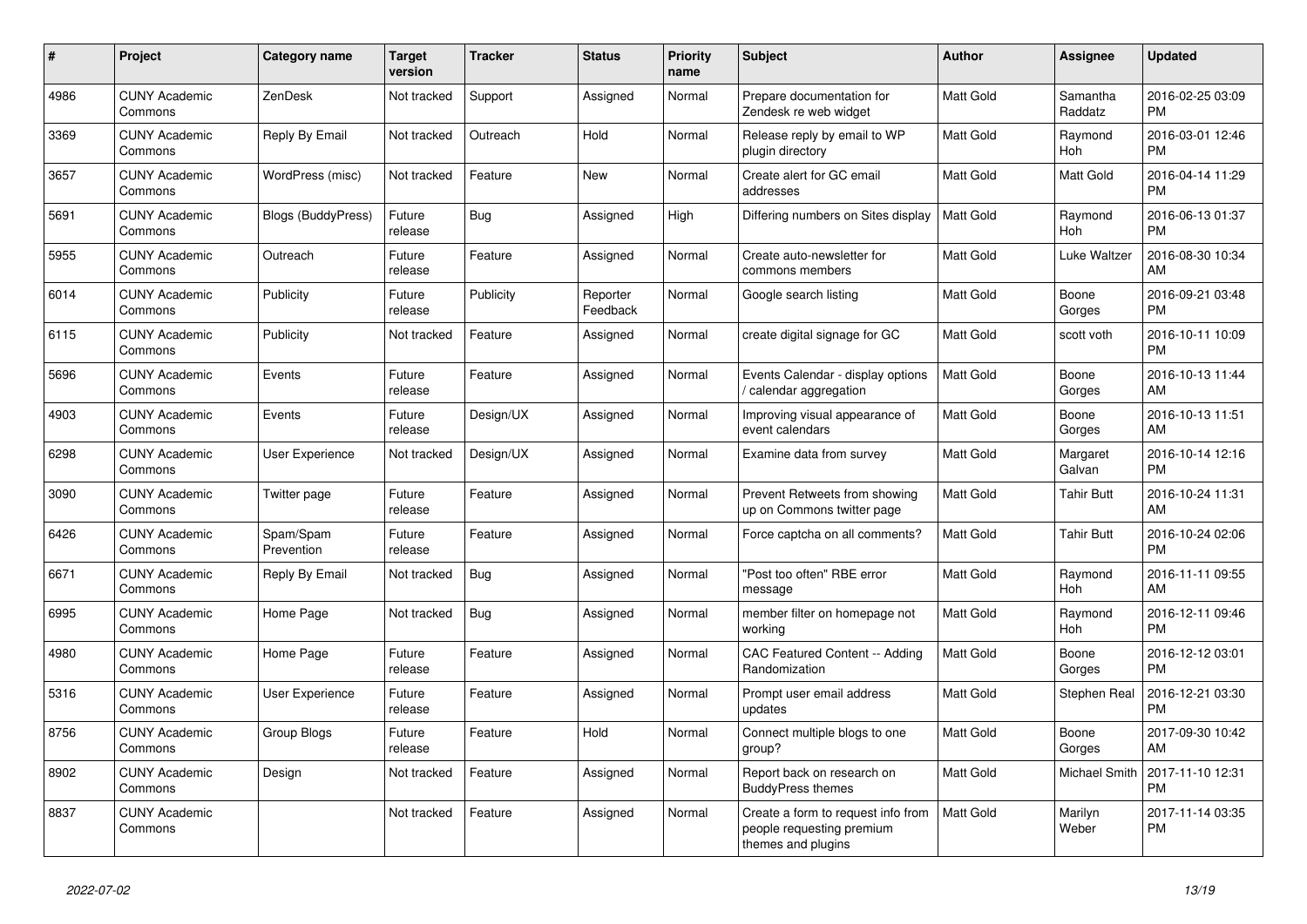| #    | <b>Project</b>                  | <b>Category name</b>      | <b>Target</b><br>version | <b>Tracker</b> | <b>Status</b>        | <b>Priority</b><br>name | <b>Subject</b>                                                                        | <b>Author</b>    | Assignee              | <b>Updated</b>                |
|------|---------------------------------|---------------------------|--------------------------|----------------|----------------------|-------------------------|---------------------------------------------------------------------------------------|------------------|-----------------------|-------------------------------|
| 4986 | <b>CUNY Academic</b><br>Commons | ZenDesk                   | Not tracked              | Support        | Assigned             | Normal                  | Prepare documentation for<br>Zendesk re web widget                                    | <b>Matt Gold</b> | Samantha<br>Raddatz   | 2016-02-25 03:09<br><b>PM</b> |
| 3369 | <b>CUNY Academic</b><br>Commons | Reply By Email            | Not tracked              | Outreach       | Hold                 | Normal                  | Release reply by email to WP<br>plugin directory                                      | <b>Matt Gold</b> | Raymond<br>Hoh        | 2016-03-01 12:46<br><b>PM</b> |
| 3657 | <b>CUNY Academic</b><br>Commons | WordPress (misc)          | Not tracked              | Feature        | <b>New</b>           | Normal                  | Create alert for GC email<br>addresses                                                | <b>Matt Gold</b> | Matt Gold             | 2016-04-14 11:29<br><b>PM</b> |
| 5691 | <b>CUNY Academic</b><br>Commons | <b>Blogs (BuddyPress)</b> | Future<br>release        | Bug            | Assigned             | High                    | Differing numbers on Sites display                                                    | Matt Gold        | Raymond<br><b>Hoh</b> | 2016-06-13 01:37<br><b>PM</b> |
| 5955 | <b>CUNY Academic</b><br>Commons | Outreach                  | Future<br>release        | Feature        | Assigned             | Normal                  | Create auto-newsletter for<br>commons members                                         | Matt Gold        | Luke Waltzer          | 2016-08-30 10:34<br>AM        |
| 6014 | <b>CUNY Academic</b><br>Commons | Publicity                 | Future<br>release        | Publicity      | Reporter<br>Feedback | Normal                  | Google search listing                                                                 | <b>Matt Gold</b> | Boone<br>Gorges       | 2016-09-21 03:48<br><b>PM</b> |
| 6115 | <b>CUNY Academic</b><br>Commons | Publicity                 | Not tracked              | Feature        | Assigned             | Normal                  | create digital signage for GC                                                         | <b>Matt Gold</b> | scott voth            | 2016-10-11 10:09<br><b>PM</b> |
| 5696 | <b>CUNY Academic</b><br>Commons | Events                    | Future<br>release        | Feature        | Assigned             | Normal                  | Events Calendar - display options<br>/ calendar aggregation                           | <b>Matt Gold</b> | Boone<br>Gorges       | 2016-10-13 11:44<br>AM        |
| 4903 | <b>CUNY Academic</b><br>Commons | Events                    | Future<br>release        | Design/UX      | Assigned             | Normal                  | Improving visual appearance of<br>event calendars                                     | <b>Matt Gold</b> | Boone<br>Gorges       | 2016-10-13 11:51<br>AM        |
| 6298 | <b>CUNY Academic</b><br>Commons | <b>User Experience</b>    | Not tracked              | Design/UX      | Assigned             | Normal                  | Examine data from survey                                                              | <b>Matt Gold</b> | Margaret<br>Galvan    | 2016-10-14 12:16<br><b>PM</b> |
| 3090 | <b>CUNY Academic</b><br>Commons | Twitter page              | Future<br>release        | Feature        | Assigned             | Normal                  | Prevent Retweets from showing<br>up on Commons twitter page                           | <b>Matt Gold</b> | <b>Tahir Butt</b>     | 2016-10-24 11:31<br>AM        |
| 6426 | <b>CUNY Academic</b><br>Commons | Spam/Spam<br>Prevention   | Future<br>release        | Feature        | Assigned             | Normal                  | Force captcha on all comments?                                                        | Matt Gold        | <b>Tahir Butt</b>     | 2016-10-24 02:06<br><b>PM</b> |
| 6671 | <b>CUNY Academic</b><br>Commons | Reply By Email            | Not tracked              | Bug            | Assigned             | Normal                  | "Post too often" RBE error<br>message                                                 | <b>Matt Gold</b> | Raymond<br><b>Hoh</b> | 2016-11-11 09:55<br>AM        |
| 6995 | <b>CUNY Academic</b><br>Commons | Home Page                 | Not tracked              | <b>Bug</b>     | Assigned             | Normal                  | member filter on homepage not<br>working                                              | <b>Matt Gold</b> | Raymond<br>Hoh        | 2016-12-11 09:46<br><b>PM</b> |
| 4980 | <b>CUNY Academic</b><br>Commons | Home Page                 | Future<br>release        | Feature        | Assigned             | Normal                  | CAC Featured Content -- Adding<br>Randomization                                       | <b>Matt Gold</b> | Boone<br>Gorges       | 2016-12-12 03:01<br>PM        |
| 5316 | <b>CUNY Academic</b><br>Commons | User Experience           | Future<br>release        | Feature        | Assigned             | Normal                  | Prompt user email address<br>updates                                                  | <b>Matt Gold</b> | Stephen Real          | 2016-12-21 03:30<br><b>PM</b> |
| 8756 | <b>CUNY Academic</b><br>Commons | <b>Group Blogs</b>        | Future<br>release        | Feature        | Hold                 | Normal                  | Connect multiple blogs to one<br>group?                                               | <b>Matt Gold</b> | Boone<br>Gorges       | 2017-09-30 10:42<br>AM.       |
| 8902 | <b>CUNY Academic</b><br>Commons | Design                    | Not tracked              | Feature        | Assigned             | Normal                  | Report back on research on<br><b>BuddyPress themes</b>                                | <b>Matt Gold</b> | <b>Michael Smith</b>  | 2017-11-10 12:31<br><b>PM</b> |
| 8837 | <b>CUNY Academic</b><br>Commons |                           | Not tracked              | Feature        | Assigned             | Normal                  | Create a form to request info from<br>people requesting premium<br>themes and plugins | <b>Matt Gold</b> | Marilyn<br>Weber      | 2017-11-14 03:35<br><b>PM</b> |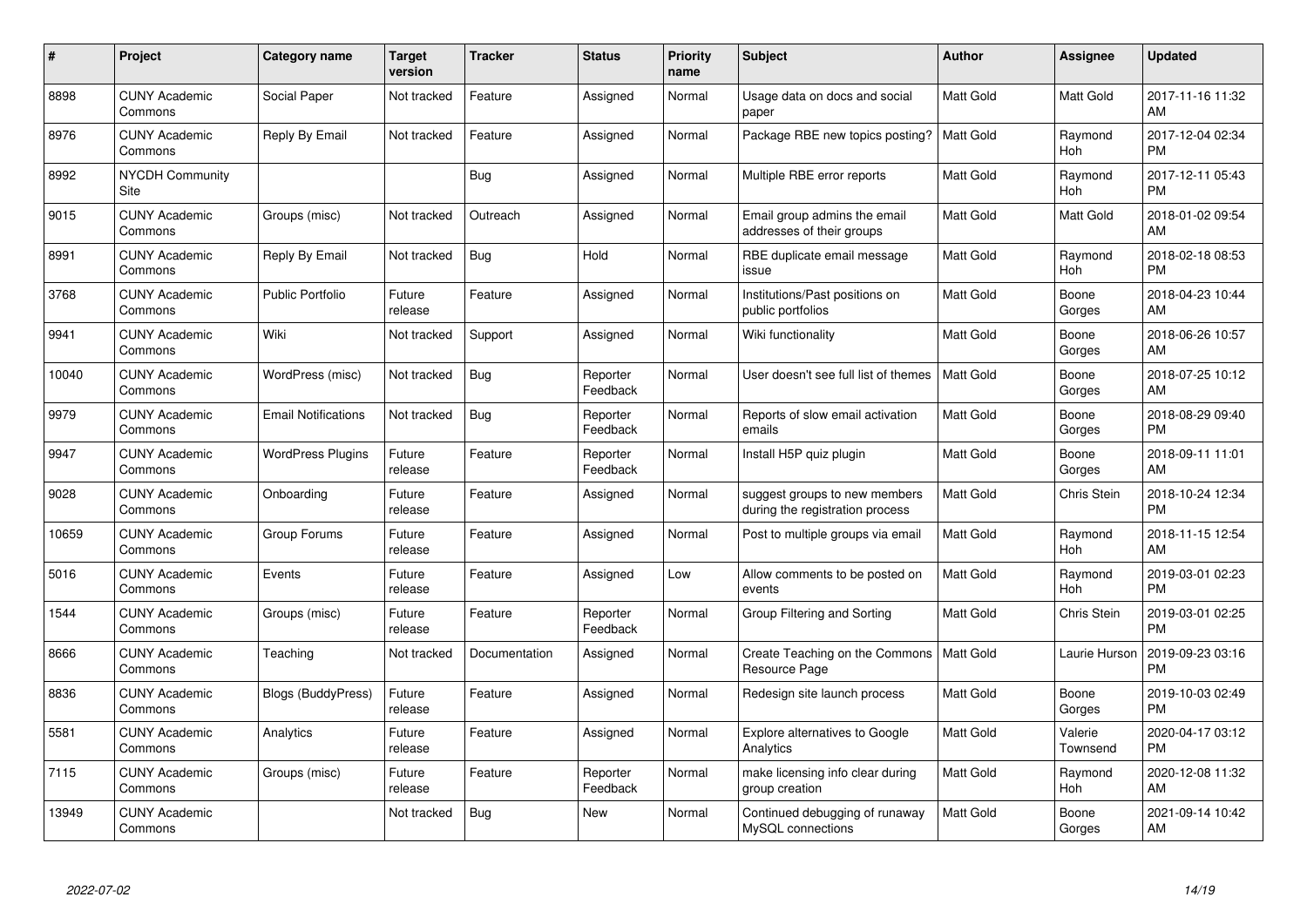| #     | Project                         | <b>Category name</b>       | <b>Target</b><br>version | <b>Tracker</b> | <b>Status</b>        | Priority<br>name | <b>Subject</b>                                                   | <b>Author</b>    | <b>Assignee</b>     | <b>Updated</b>                |
|-------|---------------------------------|----------------------------|--------------------------|----------------|----------------------|------------------|------------------------------------------------------------------|------------------|---------------------|-------------------------------|
| 8898  | <b>CUNY Academic</b><br>Commons | Social Paper               | Not tracked              | Feature        | Assigned             | Normal           | Usage data on docs and social<br>paper                           | <b>Matt Gold</b> | <b>Matt Gold</b>    | 2017-11-16 11:32<br>AM        |
| 8976  | <b>CUNY Academic</b><br>Commons | Reply By Email             | Not tracked              | Feature        | Assigned             | Normal           | Package RBE new topics posting?                                  | <b>Matt Gold</b> | Raymond<br>Hoh      | 2017-12-04 02:34<br><b>PM</b> |
| 8992  | <b>NYCDH Community</b><br>Site  |                            |                          | Bug            | Assigned             | Normal           | Multiple RBE error reports                                       | Matt Gold        | Raymond<br>Hoh      | 2017-12-11 05:43<br><b>PM</b> |
| 9015  | <b>CUNY Academic</b><br>Commons | Groups (misc)              | Not tracked              | Outreach       | Assigned             | Normal           | Email group admins the email<br>addresses of their groups        | Matt Gold        | Matt Gold           | 2018-01-02 09:54<br>AM        |
| 8991  | <b>CUNY Academic</b><br>Commons | Reply By Email             | Not tracked              | Bug            | Hold                 | Normal           | RBE duplicate email message<br>issue                             | Matt Gold        | Raymond<br>Hoh      | 2018-02-18 08:53<br><b>PM</b> |
| 3768  | <b>CUNY Academic</b><br>Commons | <b>Public Portfolio</b>    | Future<br>release        | Feature        | Assigned             | Normal           | Institutions/Past positions on<br>public portfolios              | <b>Matt Gold</b> | Boone<br>Gorges     | 2018-04-23 10:44<br>AM        |
| 9941  | <b>CUNY Academic</b><br>Commons | Wiki                       | Not tracked              | Support        | Assigned             | Normal           | Wiki functionality                                               | <b>Matt Gold</b> | Boone<br>Gorges     | 2018-06-26 10:57<br>AM        |
| 10040 | <b>CUNY Academic</b><br>Commons | WordPress (misc)           | Not tracked              | Bug            | Reporter<br>Feedback | Normal           | User doesn't see full list of themes                             | <b>Matt Gold</b> | Boone<br>Gorges     | 2018-07-25 10:12<br>AM        |
| 9979  | <b>CUNY Academic</b><br>Commons | <b>Email Notifications</b> | Not tracked              | <b>Bug</b>     | Reporter<br>Feedback | Normal           | Reports of slow email activation<br>emails                       | Matt Gold        | Boone<br>Gorges     | 2018-08-29 09:40<br><b>PM</b> |
| 9947  | <b>CUNY Academic</b><br>Commons | <b>WordPress Plugins</b>   | Future<br>release        | Feature        | Reporter<br>Feedback | Normal           | Install H5P quiz plugin                                          | <b>Matt Gold</b> | Boone<br>Gorges     | 2018-09-11 11:01<br>AM        |
| 9028  | <b>CUNY Academic</b><br>Commons | Onboarding                 | Future<br>release        | Feature        | Assigned             | Normal           | suggest groups to new members<br>during the registration process | Matt Gold        | Chris Stein         | 2018-10-24 12:34<br><b>PM</b> |
| 10659 | <b>CUNY Academic</b><br>Commons | Group Forums               | Future<br>release        | Feature        | Assigned             | Normal           | Post to multiple groups via email                                | Matt Gold        | Raymond<br>Hoh      | 2018-11-15 12:54<br>AM        |
| 5016  | <b>CUNY Academic</b><br>Commons | Events                     | Future<br>release        | Feature        | Assigned             | Low              | Allow comments to be posted on<br>events                         | <b>Matt Gold</b> | Raymond<br>Hoh      | 2019-03-01 02:23<br><b>PM</b> |
| 1544  | <b>CUNY Academic</b><br>Commons | Groups (misc)              | Future<br>release        | Feature        | Reporter<br>Feedback | Normal           | Group Filtering and Sorting                                      | Matt Gold        | Chris Stein         | 2019-03-01 02:25<br><b>PM</b> |
| 8666  | <b>CUNY Academic</b><br>Commons | Teaching                   | Not tracked              | Documentation  | Assigned             | Normal           | Create Teaching on the Commons<br>Resource Page                  | Matt Gold        | Laurie Hurson       | 2019-09-23 03:16<br><b>PM</b> |
| 8836  | <b>CUNY Academic</b><br>Commons | <b>Blogs (BuddyPress)</b>  | Future<br>release        | Feature        | Assigned             | Normal           | Redesign site launch process                                     | <b>Matt Gold</b> | Boone<br>Gorges     | 2019-10-03 02:49<br><b>PM</b> |
| 5581  | <b>CUNY Academic</b><br>Commons | Analytics                  | Future<br>release        | Feature        | Assigned             | Normal           | <b>Explore alternatives to Google</b><br>Analytics               | <b>Matt Gold</b> | Valerie<br>Townsend | 2020-04-17 03:12<br><b>PM</b> |
| 7115  | <b>CUNY Academic</b><br>Commons | Groups (misc)              | Future<br>release        | Feature        | Reporter<br>Feedback | Normal           | make licensing info clear during<br>group creation               | <b>Matt Gold</b> | Raymond<br>Hoh      | 2020-12-08 11:32<br>AM        |
| 13949 | CUNY Academic<br>Commons        |                            | Not tracked              | Bug            | <b>New</b>           | Normal           | Continued debugging of runaway<br>MySQL connections              | <b>Matt Gold</b> | Boone<br>Gorges     | 2021-09-14 10:42<br>AM        |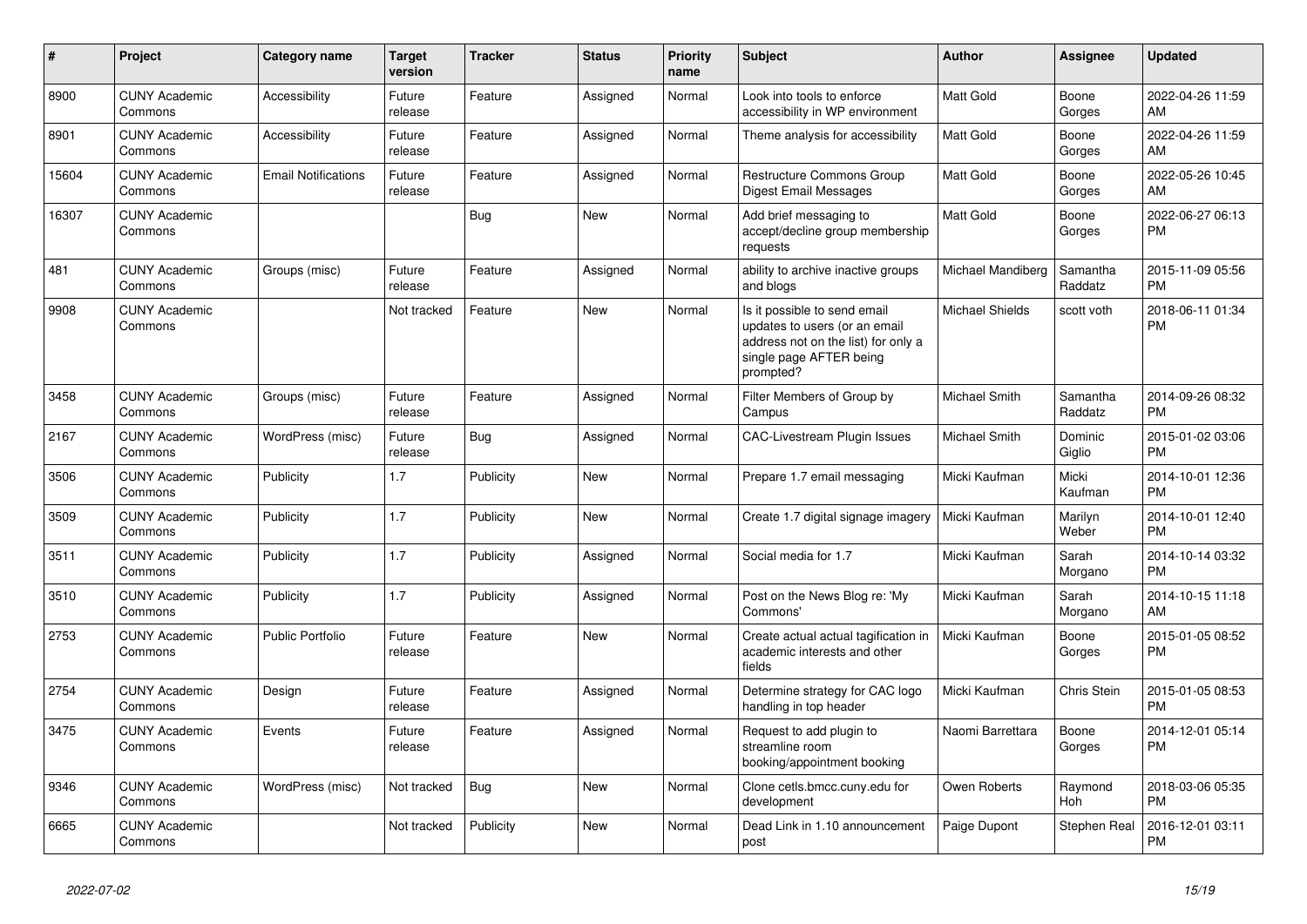| #     | <b>Project</b>                  | Category name              | <b>Target</b><br>version | <b>Tracker</b> | <b>Status</b> | <b>Priority</b><br>name | <b>Subject</b>                                                                                                                               | <b>Author</b>          | Assignee            | <b>Updated</b>                |
|-------|---------------------------------|----------------------------|--------------------------|----------------|---------------|-------------------------|----------------------------------------------------------------------------------------------------------------------------------------------|------------------------|---------------------|-------------------------------|
| 8900  | <b>CUNY Academic</b><br>Commons | Accessibility              | Future<br>release        | Feature        | Assigned      | Normal                  | Look into tools to enforce<br>accessibility in WP environment                                                                                | Matt Gold              | Boone<br>Gorges     | 2022-04-26 11:59<br>AM        |
| 8901  | <b>CUNY Academic</b><br>Commons | Accessibility              | Future<br>release        | Feature        | Assigned      | Normal                  | Theme analysis for accessibility                                                                                                             | <b>Matt Gold</b>       | Boone<br>Gorges     | 2022-04-26 11:59<br>AM        |
| 15604 | <b>CUNY Academic</b><br>Commons | <b>Email Notifications</b> | Future<br>release        | Feature        | Assigned      | Normal                  | <b>Restructure Commons Group</b><br>Digest Email Messages                                                                                    | <b>Matt Gold</b>       | Boone<br>Gorges     | 2022-05-26 10:45<br>AM        |
| 16307 | <b>CUNY Academic</b><br>Commons |                            |                          | Bug            | New           | Normal                  | Add brief messaging to<br>accept/decline group membership<br>requests                                                                        | <b>Matt Gold</b>       | Boone<br>Gorges     | 2022-06-27 06:13<br><b>PM</b> |
| 481   | <b>CUNY Academic</b><br>Commons | Groups (misc)              | Future<br>release        | Feature        | Assigned      | Normal                  | ability to archive inactive groups<br>and blogs                                                                                              | Michael Mandiberg      | Samantha<br>Raddatz | 2015-11-09 05:56<br><b>PM</b> |
| 9908  | <b>CUNY Academic</b><br>Commons |                            | Not tracked              | Feature        | New           | Normal                  | Is it possible to send email<br>updates to users (or an email<br>address not on the list) for only a<br>single page AFTER being<br>prompted? | <b>Michael Shields</b> | scott voth          | 2018-06-11 01:34<br><b>PM</b> |
| 3458  | <b>CUNY Academic</b><br>Commons | Groups (misc)              | Future<br>release        | Feature        | Assigned      | Normal                  | Filter Members of Group by<br>Campus                                                                                                         | Michael Smith          | Samantha<br>Raddatz | 2014-09-26 08:32<br><b>PM</b> |
| 2167  | <b>CUNY Academic</b><br>Commons | WordPress (misc)           | Future<br>release        | Bug            | Assigned      | Normal                  | <b>CAC-Livestream Plugin Issues</b>                                                                                                          | Michael Smith          | Dominic<br>Giglio   | 2015-01-02 03:06<br><b>PM</b> |
| 3506  | <b>CUNY Academic</b><br>Commons | Publicity                  | 1.7                      | Publicity      | <b>New</b>    | Normal                  | Prepare 1.7 email messaging                                                                                                                  | Micki Kaufman          | Micki<br>Kaufman    | 2014-10-01 12:36<br><b>PM</b> |
| 3509  | <b>CUNY Academic</b><br>Commons | Publicity                  | 1.7                      | Publicity      | New           | Normal                  | Create 1.7 digital signage imagery                                                                                                           | Micki Kaufman          | Marilyn<br>Weber    | 2014-10-01 12:40<br><b>PM</b> |
| 3511  | <b>CUNY Academic</b><br>Commons | Publicity                  | 1.7                      | Publicity      | Assigned      | Normal                  | Social media for 1.7                                                                                                                         | Micki Kaufman          | Sarah<br>Morgano    | 2014-10-14 03:32<br><b>PM</b> |
| 3510  | <b>CUNY Academic</b><br>Commons | Publicity                  | 1.7                      | Publicity      | Assigned      | Normal                  | Post on the News Blog re: 'My<br>Commons'                                                                                                    | Micki Kaufman          | Sarah<br>Morgano    | 2014-10-15 11:18<br>AM        |
| 2753  | <b>CUNY Academic</b><br>Commons | <b>Public Portfolio</b>    | Future<br>release        | Feature        | <b>New</b>    | Normal                  | Create actual actual tagification in<br>academic interests and other<br>fields                                                               | Micki Kaufman          | Boone<br>Gorges     | 2015-01-05 08:52<br><b>PM</b> |
| 2754  | <b>CUNY Academic</b><br>Commons | Design                     | Future<br>release        | Feature        | Assigned      | Normal                  | Determine strategy for CAC logo<br>handling in top header                                                                                    | Micki Kaufman          | Chris Stein         | 2015-01-05 08:53<br><b>PM</b> |
| 3475  | <b>CUNY Academic</b><br>Commons | Events                     | Future<br>release        | Feature        | Assigned      | Normal                  | Request to add plugin to<br>streamline room<br>booking/appointment booking                                                                   | Naomi Barrettara       | Boone<br>Gorges     | 2014-12-01 05:14<br><b>PM</b> |
| 9346  | <b>CUNY Academic</b><br>Commons | WordPress (misc)           | Not tracked              | Bug            | New           | Normal                  | Clone cetls.bmcc.cuny.edu for<br>development                                                                                                 | Owen Roberts           | Raymond<br>Hoh      | 2018-03-06 05:35<br><b>PM</b> |
| 6665  | <b>CUNY Academic</b><br>Commons |                            | Not tracked              | Publicity      | <b>New</b>    | Normal                  | Dead Link in 1.10 announcement<br>post                                                                                                       | Paige Dupont           | Stephen Real        | 2016-12-01 03:11<br><b>PM</b> |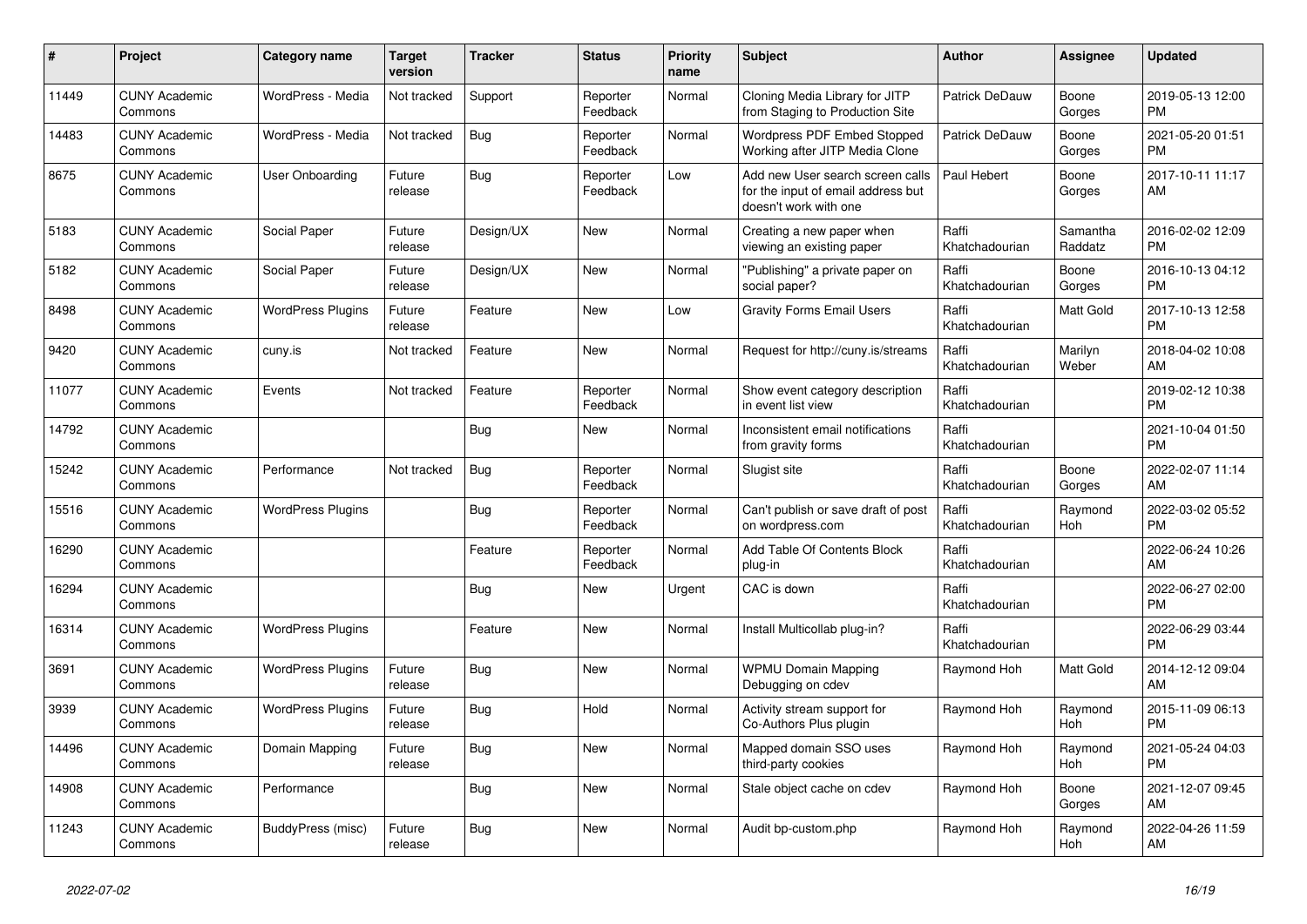| #     | Project                         | <b>Category name</b>     | <b>Target</b><br>version | <b>Tracker</b> | <b>Status</b>        | <b>Priority</b><br>name | <b>Subject</b>                                                                                  | <b>Author</b>           | Assignee            | <b>Updated</b>                |
|-------|---------------------------------|--------------------------|--------------------------|----------------|----------------------|-------------------------|-------------------------------------------------------------------------------------------------|-------------------------|---------------------|-------------------------------|
| 11449 | <b>CUNY Academic</b><br>Commons | WordPress - Media        | Not tracked              | Support        | Reporter<br>Feedback | Normal                  | Cloning Media Library for JITP<br>from Staging to Production Site                               | Patrick DeDauw          | Boone<br>Gorges     | 2019-05-13 12:00<br><b>PM</b> |
| 14483 | <b>CUNY Academic</b><br>Commons | WordPress - Media        | Not tracked              | Bug            | Reporter<br>Feedback | Normal                  | Wordpress PDF Embed Stopped<br>Working after JITP Media Clone                                   | Patrick DeDauw          | Boone<br>Gorges     | 2021-05-20 01:51<br><b>PM</b> |
| 8675  | <b>CUNY Academic</b><br>Commons | User Onboarding          | Future<br>release        | Bug            | Reporter<br>Feedback | Low                     | Add new User search screen calls<br>for the input of email address but<br>doesn't work with one | Paul Hebert             | Boone<br>Gorges     | 2017-10-11 11:17<br>AM        |
| 5183  | <b>CUNY Academic</b><br>Commons | Social Paper             | Future<br>release        | Design/UX      | <b>New</b>           | Normal                  | Creating a new paper when<br>viewing an existing paper                                          | Raffi<br>Khatchadourian | Samantha<br>Raddatz | 2016-02-02 12:09<br><b>PM</b> |
| 5182  | <b>CUNY Academic</b><br>Commons | Social Paper             | Future<br>release        | Design/UX      | <b>New</b>           | Normal                  | "Publishing" a private paper on<br>social paper?                                                | Raffi<br>Khatchadourian | Boone<br>Gorges     | 2016-10-13 04:12<br><b>PM</b> |
| 8498  | <b>CUNY Academic</b><br>Commons | <b>WordPress Plugins</b> | Future<br>release        | Feature        | <b>New</b>           | Low                     | <b>Gravity Forms Email Users</b>                                                                | Raffi<br>Khatchadourian | Matt Gold           | 2017-10-13 12:58<br><b>PM</b> |
| 9420  | <b>CUNY Academic</b><br>Commons | cuny.is                  | Not tracked              | Feature        | <b>New</b>           | Normal                  | Request for http://cuny.is/streams                                                              | Raffi<br>Khatchadourian | Marilyn<br>Weber    | 2018-04-02 10:08<br>AM        |
| 11077 | <b>CUNY Academic</b><br>Commons | Events                   | Not tracked              | Feature        | Reporter<br>Feedback | Normal                  | Show event category description<br>in event list view                                           | Raffi<br>Khatchadourian |                     | 2019-02-12 10:38<br><b>PM</b> |
| 14792 | <b>CUNY Academic</b><br>Commons |                          |                          | Bug            | New                  | Normal                  | Inconsistent email notifications<br>from gravity forms                                          | Raffi<br>Khatchadourian |                     | 2021-10-04 01:50<br><b>PM</b> |
| 15242 | <b>CUNY Academic</b><br>Commons | Performance              | Not tracked              | Bug            | Reporter<br>Feedback | Normal                  | Slugist site                                                                                    | Raffi<br>Khatchadourian | Boone<br>Gorges     | 2022-02-07 11:14<br>AM        |
| 15516 | <b>CUNY Academic</b><br>Commons | <b>WordPress Plugins</b> |                          | Bug            | Reporter<br>Feedback | Normal                  | Can't publish or save draft of post<br>on wordpress.com                                         | Raffi<br>Khatchadourian | Raymond<br>Hoh      | 2022-03-02 05:52<br><b>PM</b> |
| 16290 | <b>CUNY Academic</b><br>Commons |                          |                          | Feature        | Reporter<br>Feedback | Normal                  | Add Table Of Contents Block<br>plug-in                                                          | Raffi<br>Khatchadourian |                     | 2022-06-24 10:26<br>AM        |
| 16294 | <b>CUNY Academic</b><br>Commons |                          |                          | <b>Bug</b>     | <b>New</b>           | Urgent                  | CAC is down                                                                                     | Raffi<br>Khatchadourian |                     | 2022-06-27 02:00<br><b>PM</b> |
| 16314 | <b>CUNY Academic</b><br>Commons | <b>WordPress Plugins</b> |                          | Feature        | New                  | Normal                  | Install Multicollab plug-in?                                                                    | Raffi<br>Khatchadourian |                     | 2022-06-29 03:44<br><b>PM</b> |
| 3691  | <b>CUNY Academic</b><br>Commons | <b>WordPress Plugins</b> | Future<br>release        | Bug            | <b>New</b>           | Normal                  | <b>WPMU Domain Mapping</b><br>Debugging on cdev                                                 | Raymond Hoh             | Matt Gold           | 2014-12-12 09:04<br>AM        |
| 3939  | <b>CUNY Academic</b><br>Commons | <b>WordPress Plugins</b> | Future<br>release        | Bug            | Hold                 | Normal                  | Activity stream support for<br>Co-Authors Plus plugin                                           | Raymond Hoh             | Raymond<br>Hoh      | 2015-11-09 06:13<br><b>PM</b> |
| 14496 | <b>CUNY Academic</b><br>Commons | Domain Mapping           | Future<br>release        | <b>Bug</b>     | <b>New</b>           | Normal                  | Mapped domain SSO uses<br>third-party cookies                                                   | Raymond Hoh             | Raymond<br>Hoh      | 2021-05-24 04:03<br><b>PM</b> |
| 14908 | <b>CUNY Academic</b><br>Commons | Performance              |                          | <b>Bug</b>     | <b>New</b>           | Normal                  | Stale object cache on cdev                                                                      | Raymond Hoh             | Boone<br>Gorges     | 2021-12-07 09:45<br>AM        |
| 11243 | <b>CUNY Academic</b><br>Commons | BuddyPress (misc)        | Future<br>release        | <b>Bug</b>     | <b>New</b>           | Normal                  | Audit bp-custom.php                                                                             | Raymond Hoh             | Raymond<br>Hoh      | 2022-04-26 11:59<br>AM        |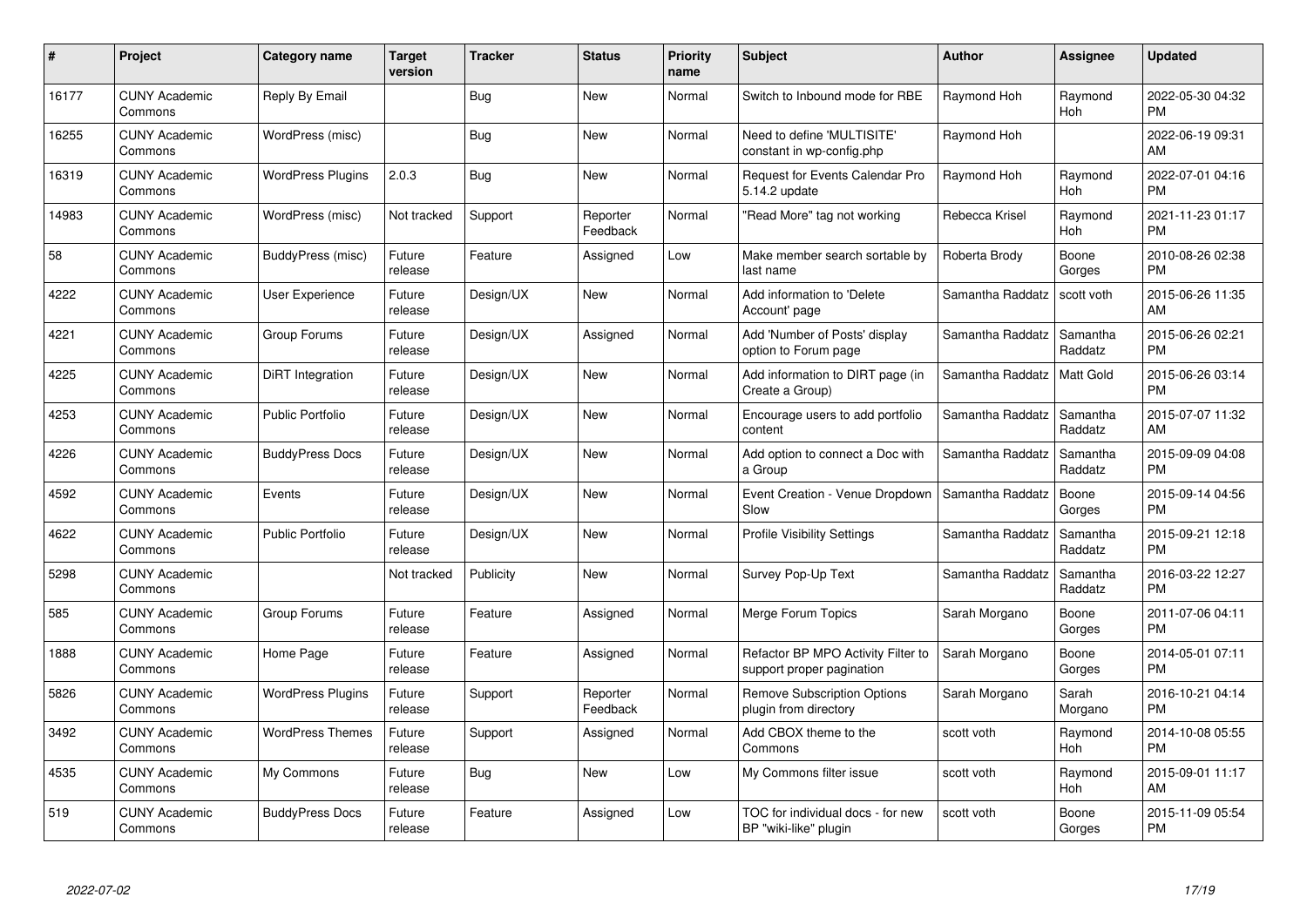| #     | Project                         | <b>Category name</b>     | <b>Target</b><br>version | <b>Tracker</b> | <b>Status</b>        | <b>Priority</b><br>name | <b>Subject</b>                                                  | <b>Author</b>    | Assignee              | <b>Updated</b>                |
|-------|---------------------------------|--------------------------|--------------------------|----------------|----------------------|-------------------------|-----------------------------------------------------------------|------------------|-----------------------|-------------------------------|
| 16177 | <b>CUNY Academic</b><br>Commons | Reply By Email           |                          | Bug            | <b>New</b>           | Normal                  | Switch to Inbound mode for RBE                                  | Raymond Hoh      | Raymond<br><b>Hoh</b> | 2022-05-30 04:32<br><b>PM</b> |
| 16255 | <b>CUNY Academic</b><br>Commons | WordPress (misc)         |                          | <b>Bug</b>     | New                  | Normal                  | Need to define 'MULTISITE'<br>constant in wp-config.php         | Raymond Hoh      |                       | 2022-06-19 09:31<br>AM        |
| 16319 | <b>CUNY Academic</b><br>Commons | <b>WordPress Plugins</b> | 2.0.3                    | <b>Bug</b>     | <b>New</b>           | Normal                  | <b>Request for Events Calendar Pro</b><br>5.14.2 update         | Raymond Hoh      | Raymond<br>Hoh        | 2022-07-01 04:16<br><b>PM</b> |
| 14983 | <b>CUNY Academic</b><br>Commons | WordPress (misc)         | Not tracked              | Support        | Reporter<br>Feedback | Normal                  | "Read More" tag not working                                     | Rebecca Krisel   | Raymond<br>Hoh        | 2021-11-23 01:17<br><b>PM</b> |
| 58    | <b>CUNY Academic</b><br>Commons | BuddyPress (misc)        | Future<br>release        | Feature        | Assigned             | Low                     | Make member search sortable by<br>last name                     | Roberta Brody    | Boone<br>Gorges       | 2010-08-26 02:38<br><b>PM</b> |
| 4222  | <b>CUNY Academic</b><br>Commons | User Experience          | Future<br>release        | Design/UX      | <b>New</b>           | Normal                  | Add information to 'Delete<br>Account' page                     | Samantha Raddatz | scott voth            | 2015-06-26 11:35<br>AM        |
| 4221  | <b>CUNY Academic</b><br>Commons | Group Forums             | Future<br>release        | Design/UX      | Assigned             | Normal                  | Add 'Number of Posts' display<br>option to Forum page           | Samantha Raddatz | Samantha<br>Raddatz   | 2015-06-26 02:21<br><b>PM</b> |
| 4225  | <b>CUNY Academic</b><br>Commons | <b>DiRT</b> Integration  | Future<br>release        | Design/UX      | <b>New</b>           | Normal                  | Add information to DIRT page (in<br>Create a Group)             | Samantha Raddatz | Matt Gold             | 2015-06-26 03:14<br><b>PM</b> |
| 4253  | <b>CUNY Academic</b><br>Commons | <b>Public Portfolio</b>  | Future<br>release        | Design/UX      | New                  | Normal                  | Encourage users to add portfolio<br>content                     | Samantha Raddatz | Samantha<br>Raddatz   | 2015-07-07 11:32<br>AM        |
| 4226  | <b>CUNY Academic</b><br>Commons | <b>BuddyPress Docs</b>   | Future<br>release        | Design/UX      | New                  | Normal                  | Add option to connect a Doc with<br>a Group                     | Samantha Raddatz | Samantha<br>Raddatz   | 2015-09-09 04:08<br><b>PM</b> |
| 4592  | <b>CUNY Academic</b><br>Commons | Events                   | Future<br>release        | Design/UX      | New                  | Normal                  | Event Creation - Venue Dropdown<br>Slow                         | Samantha Raddatz | Boone<br>Gorges       | 2015-09-14 04:56<br><b>PM</b> |
| 4622  | <b>CUNY Academic</b><br>Commons | <b>Public Portfolio</b>  | Future<br>release        | Design/UX      | New                  | Normal                  | <b>Profile Visibility Settings</b>                              | Samantha Raddatz | Samantha<br>Raddatz   | 2015-09-21 12:18<br><b>PM</b> |
| 5298  | <b>CUNY Academic</b><br>Commons |                          | Not tracked              | Publicity      | New                  | Normal                  | Survey Pop-Up Text                                              | Samantha Raddatz | Samantha<br>Raddatz   | 2016-03-22 12:27<br><b>PM</b> |
| 585   | <b>CUNY Academic</b><br>Commons | Group Forums             | Future<br>release        | Feature        | Assigned             | Normal                  | Merge Forum Topics                                              | Sarah Morgano    | Boone<br>Gorges       | 2011-07-06 04:11<br><b>PM</b> |
| 1888  | <b>CUNY Academic</b><br>Commons | Home Page                | Future<br>release        | Feature        | Assigned             | Normal                  | Refactor BP MPO Activity Filter to<br>support proper pagination | Sarah Morgano    | Boone<br>Gorges       | 2014-05-01 07:11<br><b>PM</b> |
| 5826  | <b>CUNY Academic</b><br>Commons | <b>WordPress Plugins</b> | Future<br>release        | Support        | Reporter<br>Feedback | Normal                  | <b>Remove Subscription Options</b><br>plugin from directory     | Sarah Morgano    | Sarah<br>Morgano      | 2016-10-21 04:14<br><b>PM</b> |
| 3492  | <b>CUNY Academic</b><br>Commons | <b>WordPress Themes</b>  | Future<br>release        | Support        | Assigned             | Normal                  | Add CBOX theme to the<br>Commons                                | scott voth       | Raymond<br>Hoh        | 2014-10-08 05:55<br><b>PM</b> |
| 4535  | <b>CUNY Academic</b><br>Commons | My Commons               | Future<br>release        | Bug            | New                  | Low                     | My Commons filter issue                                         | scott voth       | Raymond<br>Hoh        | 2015-09-01 11:17<br>AM        |
| 519   | <b>CUNY Academic</b><br>Commons | <b>BuddyPress Docs</b>   | Future<br>release        | Feature        | Assigned             | Low                     | TOC for individual docs - for new<br>BP "wiki-like" plugin      | scott voth       | Boone<br>Gorges       | 2015-11-09 05:54<br>PM        |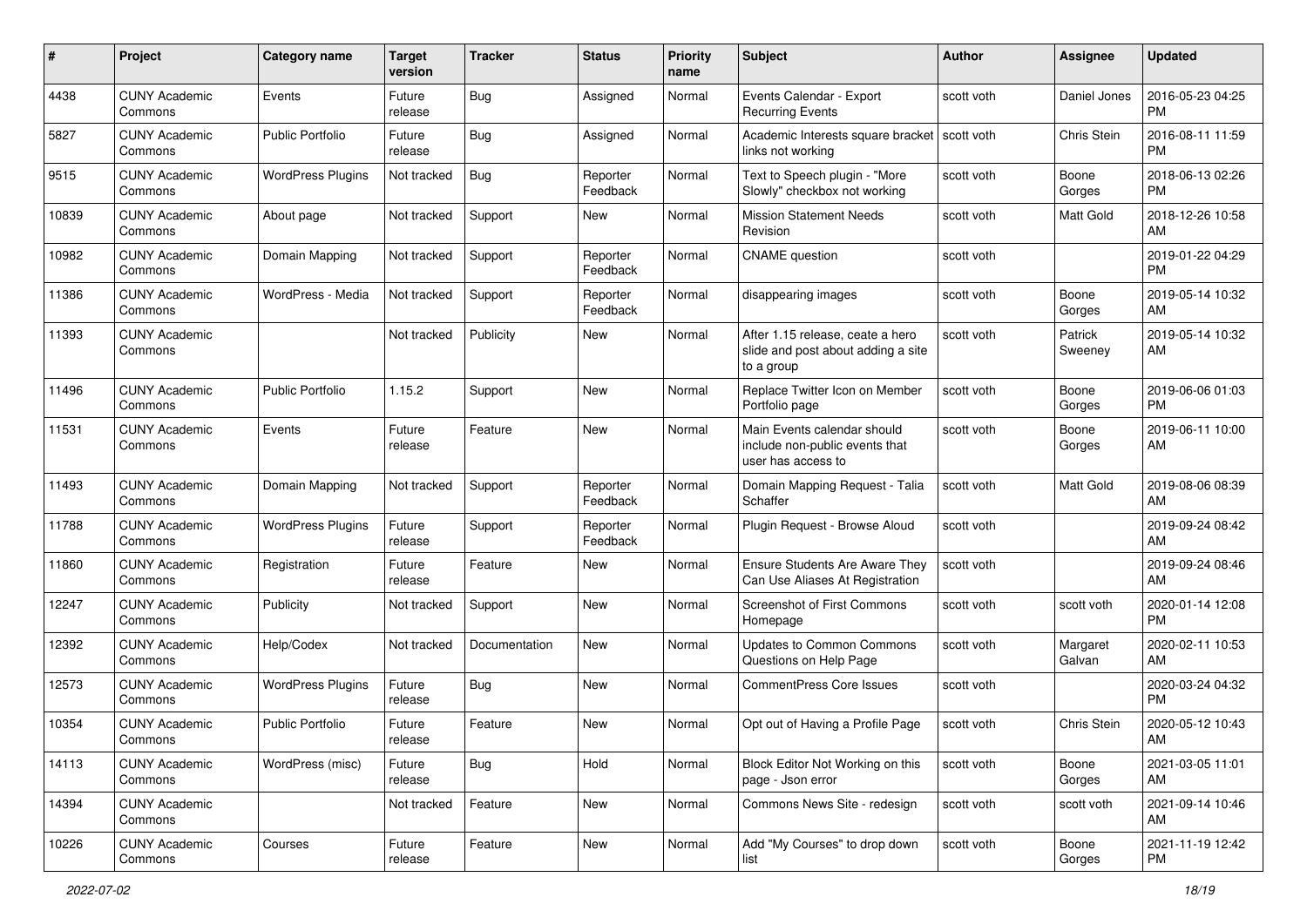| #     | Project                         | <b>Category name</b>     | <b>Target</b><br>version | <b>Tracker</b> | <b>Status</b>        | <b>Priority</b><br>name | Subject                                                                              | Author     | <b>Assignee</b>    | <b>Updated</b>                |
|-------|---------------------------------|--------------------------|--------------------------|----------------|----------------------|-------------------------|--------------------------------------------------------------------------------------|------------|--------------------|-------------------------------|
| 4438  | <b>CUNY Academic</b><br>Commons | Events                   | Future<br>release        | Bug            | Assigned             | Normal                  | Events Calendar - Export<br><b>Recurring Events</b>                                  | scott voth | Daniel Jones       | 2016-05-23 04:25<br><b>PM</b> |
| 5827  | <b>CUNY Academic</b><br>Commons | <b>Public Portfolio</b>  | Future<br>release        | Bug            | Assigned             | Normal                  | Academic Interests square bracket   scott voth<br>links not working                  |            | Chris Stein        | 2016-08-11 11:59<br><b>PM</b> |
| 9515  | <b>CUNY Academic</b><br>Commons | <b>WordPress Plugins</b> | Not tracked              | Bug            | Reporter<br>Feedback | Normal                  | Text to Speech plugin - "More<br>Slowly" checkbox not working                        | scott voth | Boone<br>Gorges    | 2018-06-13 02:26<br><b>PM</b> |
| 10839 | <b>CUNY Academic</b><br>Commons | About page               | Not tracked              | Support        | New                  | Normal                  | <b>Mission Statement Needs</b><br>Revision                                           | scott voth | Matt Gold          | 2018-12-26 10:58<br>AM        |
| 10982 | <b>CUNY Academic</b><br>Commons | Domain Mapping           | Not tracked              | Support        | Reporter<br>Feedback | Normal                  | <b>CNAME</b> question                                                                | scott voth |                    | 2019-01-22 04:29<br><b>PM</b> |
| 11386 | <b>CUNY Academic</b><br>Commons | WordPress - Media        | Not tracked              | Support        | Reporter<br>Feedback | Normal                  | disappearing images                                                                  | scott voth | Boone<br>Gorges    | 2019-05-14 10:32<br>AM        |
| 11393 | <b>CUNY Academic</b><br>Commons |                          | Not tracked              | Publicity      | <b>New</b>           | Normal                  | After 1.15 release, ceate a hero<br>slide and post about adding a site<br>to a group | scott voth | Patrick<br>Sweeney | 2019-05-14 10:32<br>AM        |
| 11496 | <b>CUNY Academic</b><br>Commons | <b>Public Portfolio</b>  | 1.15.2                   | Support        | <b>New</b>           | Normal                  | Replace Twitter Icon on Member<br>Portfolio page                                     | scott voth | Boone<br>Gorges    | 2019-06-06 01:03<br><b>PM</b> |
| 11531 | <b>CUNY Academic</b><br>Commons | Events                   | Future<br>release        | Feature        | <b>New</b>           | Normal                  | Main Events calendar should<br>include non-public events that<br>user has access to  | scott voth | Boone<br>Gorges    | 2019-06-11 10:00<br>AM        |
| 11493 | <b>CUNY Academic</b><br>Commons | Domain Mapping           | Not tracked              | Support        | Reporter<br>Feedback | Normal                  | Domain Mapping Request - Talia<br>Schaffer                                           | scott voth | Matt Gold          | 2019-08-06 08:39<br>AM        |
| 11788 | <b>CUNY Academic</b><br>Commons | <b>WordPress Plugins</b> | Future<br>release        | Support        | Reporter<br>Feedback | Normal                  | Plugin Request - Browse Aloud                                                        | scott voth |                    | 2019-09-24 08:42<br>AM        |
| 11860 | <b>CUNY Academic</b><br>Commons | Registration             | Future<br>release        | Feature        | <b>New</b>           | Normal                  | Ensure Students Are Aware They<br>Can Use Aliases At Registration                    | scott voth |                    | 2019-09-24 08:46<br>AM        |
| 12247 | <b>CUNY Academic</b><br>Commons | Publicity                | Not tracked              | Support        | <b>New</b>           | Normal                  | Screenshot of First Commons<br>Homepage                                              | scott voth | scott voth         | 2020-01-14 12:08<br><b>PM</b> |
| 12392 | <b>CUNY Academic</b><br>Commons | Help/Codex               | Not tracked              | Documentation  | <b>New</b>           | Normal                  | <b>Updates to Common Commons</b><br>Questions on Help Page                           | scott voth | Margaret<br>Galvan | 2020-02-11 10:53<br>AM        |
| 12573 | <b>CUNY Academic</b><br>Commons | <b>WordPress Plugins</b> | Future<br>release        | Bug            | New                  | Normal                  | <b>CommentPress Core Issues</b>                                                      | scott voth |                    | 2020-03-24 04:32<br><b>PM</b> |
| 10354 | <b>CUNY Academic</b><br>Commons | <b>Public Portfolio</b>  | Future<br>release        | Feature        | <b>New</b>           | Normal                  | Opt out of Having a Profile Page                                                     | scott voth | Chris Stein        | 2020-05-12 10:43<br>AM        |
| 14113 | <b>CUNY Academic</b><br>Commons | WordPress (misc)         | Future<br>release        | Bug            | Hold                 | Normal                  | Block Editor Not Working on this<br>page - Json error                                | scott voth | Boone<br>Gorges    | 2021-03-05 11:01<br>AM        |
| 14394 | <b>CUNY Academic</b><br>Commons |                          | Not tracked              | Feature        | New                  | Normal                  | Commons News Site - redesign                                                         | scott voth | scott voth         | 2021-09-14 10:46<br>AM        |
| 10226 | <b>CUNY Academic</b><br>Commons | Courses                  | Future<br>release        | Feature        | New                  | Normal                  | Add "My Courses" to drop down<br>list                                                | scott voth | Boone<br>Gorges    | 2021-11-19 12:42<br><b>PM</b> |